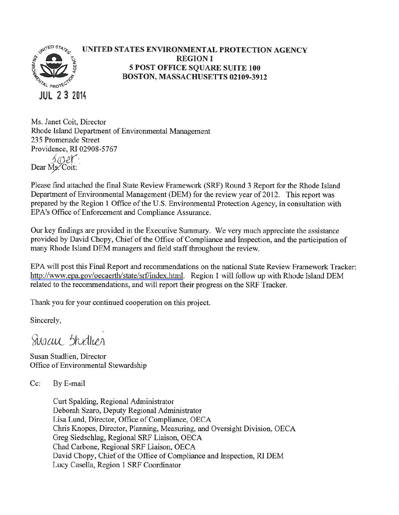

#### UNITED STATES ENVIRONMENTAL PROTECTION AGENCY **REGION I 5 POST OFFICE SQUARE SUITE 100** BOSTON, MASSACHUSETTS 02109-3912

Ms. Janet Coit, Director Rhode Island Department of Environmental Management 235 Promenade Street Providence, RI 02908-5767 soer. Dear Ms. Coit:

Please find attached the final State Review Framework (SRF) Round 3 Report for the Rhode Island Department of Environmental Management (DEM) for the review year of 2012. This report was prepared by the Region 1 Office of the U.S. Environmental Protection Agency, in consultation with EPA's Office of Enforcement and Compliance Assurance.

Our key findings are provided in the Executive Summary. We very much appreciate the assistance provided by David Chopy, Chief of the Office of Compliance and Inspection, and the participation of many Rhode Island DEM managers and field staff throughout the review.

EPA will post this Final Report and recommendations on the national State Review Framework Tracker: http://www.epa.gov/oecaerth/state/srf/index.html. Region 1 will follow up with Rhode Island DEM related to the recommendations, and will report their progress on the SRF Tracker.

Thank you for your continued cooperation on this project.

Sincerely,

Sway Stydlier

Susan Studlien, Director Office of Environmental Stewardship

 $Cc$ : By E-mail

> Curt Spalding, Regional Administrator Deborah Szaro, Deputy Regional Administrator Lisa Lund, Director, Office of Compliance, OECA Chris Knopes, Director, Planning, Measuring, and Oversight Division, OECA Greg Siedschlag, Regional SRF Liaison, OECA Chad Carbone, Regional SRF Liaison, OECA David Chopy, Chief of the Office of Compliance and Inspection, RI DEM Lucy Casella, Region 1 SRF Coordinator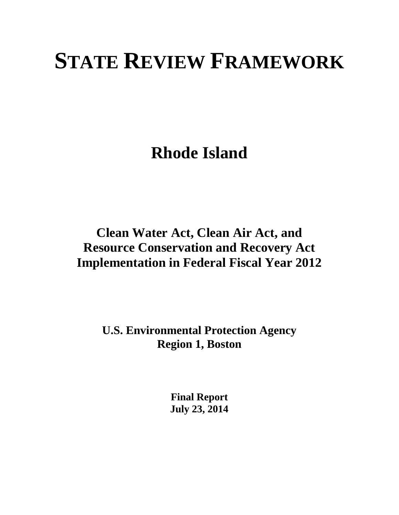# **STATE REVIEW FRAMEWORK**

**Rhode Island** 

# **Clean Water Act, Clean Air Act, and Resource Conservation and Recovery Act Implementation in Federal Fiscal Year 2012**

**U.S. Environmental Protection Agency Region 1, Boston** 

> **Final Report July 23, 2014**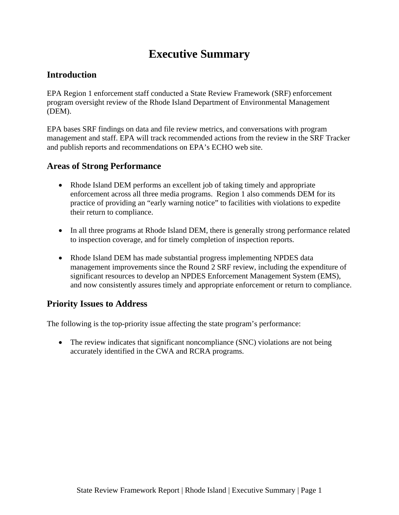# **Executive Summary**

### **Introduction**

EPA Region 1 enforcement staff conducted a State Review Framework (SRF) enforcement program oversight review of the Rhode Island Department of Environmental Management (DEM).

EPA bases SRF findings on data and file review metrics, and conversations with program management and staff. EPA will track recommended actions from the review in the SRF Tracker and publish reports and recommendations on EPA's ECHO web site.

### **Areas of Strong Performance**

- Rhode Island DEM performs an excellent job of taking timely and appropriate enforcement across all three media programs. Region 1 also commends DEM for its practice of providing an "early warning notice" to facilities with violations to expedite their return to compliance.
- In all three programs at Rhode Island DEM, there is generally strong performance related to inspection coverage, and for timely completion of inspection reports.
- Rhode Island DEM has made substantial progress implementing NPDES data management improvements since the Round 2 SRF review, including the expenditure of significant resources to develop an NPDES Enforcement Management System (EMS), and now consistently assures timely and appropriate enforcement or return to compliance.

### **Priority Issues to Address**

The following is the top-priority issue affecting the state program's performance:

• The review indicates that significant noncompliance (SNC) violations are not being accurately identified in the CWA and RCRA programs.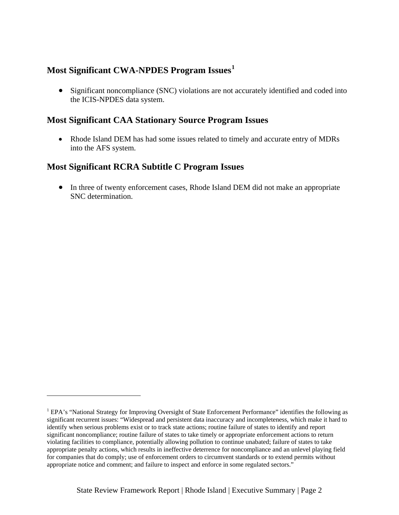### **Most Significant CWA-NPDES Program Issues[1](#page-3-0)**

• Significant noncompliance (SNC) violations are not accurately identified and coded into the ICIS-NPDES data system.

#### **Most Significant CAA Stationary Source Program Issues**

• Rhode Island DEM has had some issues related to timely and accurate entry of MDRs into the AFS system.

### **Most Significant RCRA Subtitle C Program Issues**

 $\overline{a}$ 

• In three of twenty enforcement cases, Rhode Island DEM did not make an appropriate SNC determination.

<span id="page-3-0"></span><sup>&</sup>lt;sup>1</sup> EPA's "National Strategy for Improving Oversight of State Enforcement Performance" identifies the following as significant recurrent issues: "Widespread and persistent data inaccuracy and incompleteness, which make it hard to identify when serious problems exist or to track state actions; routine failure of states to identify and report significant noncompliance; routine failure of states to take timely or appropriate enforcement actions to return violating facilities to compliance, potentially allowing pollution to continue unabated; failure of states to take appropriate penalty actions, which results in ineffective deterrence for noncompliance and an unlevel playing field for companies that do comply; use of enforcement orders to circumvent standards or to extend permits without appropriate notice and comment; and failure to inspect and enforce in some regulated sectors."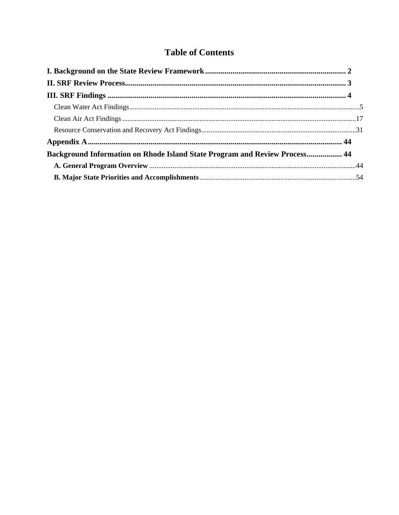# **Table of Contents**

| Background Information on Rhode Island State Program and Review Process 44 |  |
|----------------------------------------------------------------------------|--|
|                                                                            |  |
|                                                                            |  |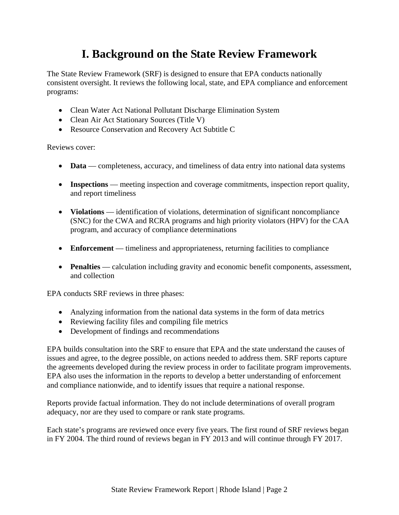# **I. Background on the State Review Framework**

<span id="page-5-0"></span>The State Review Framework (SRF) is designed to ensure that EPA conducts nationally consistent oversight. It reviews the following local, state, and EPA compliance and enforcement programs:

- Clean Water Act National Pollutant Discharge Elimination System
- Clean Air Act Stationary Sources (Title V)
- Resource Conservation and Recovery Act Subtitle C

Reviews cover:

- **Data** completeness, accuracy, and timeliness of data entry into national data systems
- **Inspections** meeting inspection and coverage commitments, inspection report quality, and report timeliness
- **Violations** identification of violations, determination of significant noncompliance (SNC) for the CWA and RCRA programs and high priority violators (HPV) for the CAA program, and accuracy of compliance determinations
- **Enforcement** timeliness and appropriateness, returning facilities to compliance
- **Penalties** calculation including gravity and economic benefit components, assessment, and collection

EPA conducts SRF reviews in three phases:

- Analyzing information from the national data systems in the form of data metrics
- Reviewing facility files and compiling file metrics
- Development of findings and recommendations

EPA builds consultation into the SRF to ensure that EPA and the state understand the causes of issues and agree, to the degree possible, on actions needed to address them. SRF reports capture the agreements developed during the review process in order to facilitate program improvements. EPA also uses the information in the reports to develop a better understanding of enforcement and compliance nationwide, and to identify issues that require a national response.

Reports provide factual information. They do not include determinations of overall program adequacy, nor are they used to compare or rank state programs.

Each state's programs are reviewed once every five years. The first round of SRF reviews began in FY 2004. The third round of reviews began in FY 2013 and will continue through FY 2017.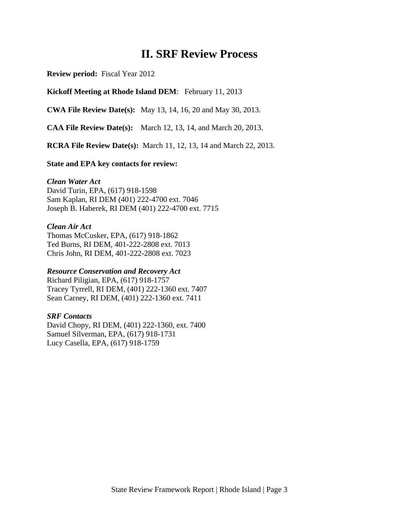# **II. SRF Review Process**

<span id="page-6-0"></span>**Review period:** Fiscal Year 2012

#### **Kickoff Meeting at Rhode Island DEM**: February 11, 2013

**CWA File Review Date(s):** May 13, 14, 16, 20 and May 30, 2013.

**CAA File Review Date(s):** March 12, 13, 14, and March 20, 2013.

**RCRA File Review Date(s):** March 11, 12, 13, 14 and March 22, 2013.

#### **State and EPA key contacts for review:**

#### *Clean Water Act*

David Turin, EPA, (617) 918-1598 Sam Kaplan, RI DEM (401) 222-4700 ext. 7046 Joseph B. Haberek, RI DEM (401) 222-4700 ext. 7715

#### *Clean Air Act*

Thomas McCusker, EPA, (617) 918-1862 Ted Burns, RI DEM, 401-222-2808 ext. 7013 Chris John, RI DEM, 401-222-2808 ext. 7023

#### *Resource Conservation and Recovery Act*

Richard Piligian, EPA, (617) 918-1757 Tracey Tyrrell, RI DEM, (401) 222-1360 ext. 7407 Sean Carney, RI DEM, (401) 222-1360 ext. 7411

#### *SRF Contacts*

David Chopy, RI DEM, (401) 222-1360, ext. 7400 Samuel Silverman, EPA, (617) 918-1731 Lucy Casella, EPA, (617) 918-1759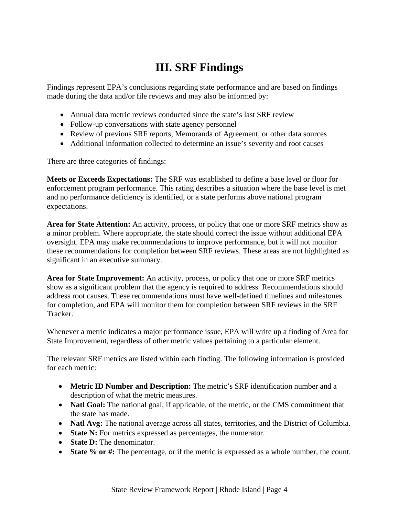# **III. SRF Findings**

<span id="page-7-0"></span>Findings represent EPA's conclusions regarding state performance and are based on findings made during the data and/or file reviews and may also be informed by:

- Annual data metric reviews conducted since the state's last SRF review
- Follow-up conversations with state agency personnel
- Review of previous SRF reports, Memoranda of Agreement, or other data sources
- Additional information collected to determine an issue's severity and root causes

There are three categories of findings:

**Meets or Exceeds Expectations:** The SRF was established to define a base level or floor for enforcement program performance. This rating describes a situation where the base level is met and no performance deficiency is identified, or a state performs above national program expectations.

**Area for State Attention:** An activity, process, or policy that one or more SRF metrics show as a minor problem. Where appropriate, the state should correct the issue without additional EPA oversight. EPA may make recommendations to improve performance, but it will not monitor these recommendations for completion between SRF reviews. These areas are not highlighted as significant in an executive summary.

**Area for State Improvement:** An activity, process, or policy that one or more SRF metrics show as a significant problem that the agency is required to address. Recommendations should address root causes. These recommendations must have well-defined timelines and milestones for completion, and EPA will monitor them for completion between SRF reviews in the SRF Tracker.

Whenever a metric indicates a major performance issue, EPA will write up a finding of Area for State Improvement, regardless of other metric values pertaining to a particular element.

The relevant SRF metrics are listed within each finding. The following information is provided for each metric:

- **Metric ID Number and Description:** The metric's SRF identification number and a description of what the metric measures.
- **Natl Goal:** The national goal, if applicable, of the metric, or the CMS commitment that the state has made.
- **Natl Avg:** The national average across all states, territories, and the District of Columbia.
- **State N:** For metrics expressed as percentages, the numerator.
- **State D:** The denominator.
- **State % or #:** The percentage, or if the metric is expressed as a whole number, the count.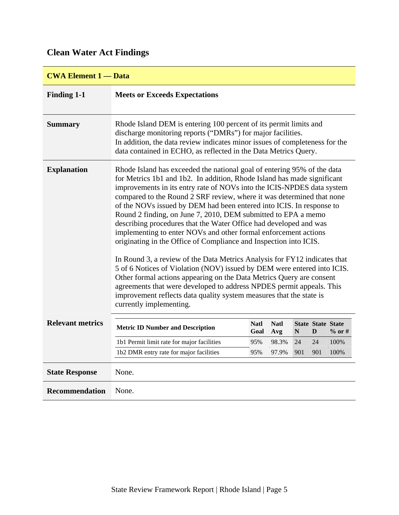# <span id="page-8-0"></span>**Clean Water Act Findings**

| <b>CWA Element 1 — Data</b> |                                                                                                                                                                                                                                                                                    |                                                                                                                                                                                                                                                                                                                                                                                                                                                                                                                                                                                                                                                                                                                                                                                                                                                                                                                                                                                                                                            |                    |     |                               |           |  |  |  |
|-----------------------------|------------------------------------------------------------------------------------------------------------------------------------------------------------------------------------------------------------------------------------------------------------------------------------|--------------------------------------------------------------------------------------------------------------------------------------------------------------------------------------------------------------------------------------------------------------------------------------------------------------------------------------------------------------------------------------------------------------------------------------------------------------------------------------------------------------------------------------------------------------------------------------------------------------------------------------------------------------------------------------------------------------------------------------------------------------------------------------------------------------------------------------------------------------------------------------------------------------------------------------------------------------------------------------------------------------------------------------------|--------------------|-----|-------------------------------|-----------|--|--|--|
| <b>Finding 1-1</b>          | <b>Meets or Exceeds Expectations</b>                                                                                                                                                                                                                                               |                                                                                                                                                                                                                                                                                                                                                                                                                                                                                                                                                                                                                                                                                                                                                                                                                                                                                                                                                                                                                                            |                    |     |                               |           |  |  |  |
| <b>Summary</b>              | Rhode Island DEM is entering 100 percent of its permit limits and<br>discharge monitoring reports ("DMRs") for major facilities.<br>In addition, the data review indicates minor issues of completeness for the<br>data contained in ECHO, as reflected in the Data Metrics Query. |                                                                                                                                                                                                                                                                                                                                                                                                                                                                                                                                                                                                                                                                                                                                                                                                                                                                                                                                                                                                                                            |                    |     |                               |           |  |  |  |
| <b>Explanation</b>          | currently implementing.                                                                                                                                                                                                                                                            | Rhode Island has exceeded the national goal of entering 95% of the data<br>for Metrics 1b1 and 1b2. In addition, Rhode Island has made significant<br>improvements in its entry rate of NOVs into the ICIS-NPDES data system<br>compared to the Round 2 SRF review, where it was determined that none<br>of the NOVs issued by DEM had been entered into ICIS. In response to<br>Round 2 finding, on June 7, 2010, DEM submitted to EPA a memo<br>describing procedures that the Water Office had developed and was<br>implementing to enter NOVs and other formal enforcement actions<br>originating in the Office of Compliance and Inspection into ICIS.<br>In Round 3, a review of the Data Metrics Analysis for FY12 indicates that<br>5 of 6 Notices of Violation (NOV) issued by DEM were entered into ICIS.<br>Other formal actions appearing on the Data Metrics Query are consent<br>agreements that were developed to address NPDES permit appeals. This<br>improvement reflects data quality system measures that the state is |                    |     |                               |           |  |  |  |
| <b>Relevant metrics</b>     | <b>Metric ID Number and Description</b>                                                                                                                                                                                                                                            | <b>Natl</b><br>Goal                                                                                                                                                                                                                                                                                                                                                                                                                                                                                                                                                                                                                                                                                                                                                                                                                                                                                                                                                                                                                        | <b>Natl</b><br>Avg | N   | <b>State State State</b><br>D | $\%$ or # |  |  |  |
|                             | 1b1 Permit limit rate for major facilities                                                                                                                                                                                                                                         | 95%                                                                                                                                                                                                                                                                                                                                                                                                                                                                                                                                                                                                                                                                                                                                                                                                                                                                                                                                                                                                                                        | 98.3%              | 24  | 24                            | 100%      |  |  |  |
|                             | 1b2 DMR entry rate for major facilities                                                                                                                                                                                                                                            | 95%                                                                                                                                                                                                                                                                                                                                                                                                                                                                                                                                                                                                                                                                                                                                                                                                                                                                                                                                                                                                                                        | 97.9%              | 901 | 901                           | 100%      |  |  |  |
| <b>State Response</b>       | None.                                                                                                                                                                                                                                                                              |                                                                                                                                                                                                                                                                                                                                                                                                                                                                                                                                                                                                                                                                                                                                                                                                                                                                                                                                                                                                                                            |                    |     |                               |           |  |  |  |
| <b>Recommendation</b>       | None.                                                                                                                                                                                                                                                                              |                                                                                                                                                                                                                                                                                                                                                                                                                                                                                                                                                                                                                                                                                                                                                                                                                                                                                                                                                                                                                                            |                    |     |                               |           |  |  |  |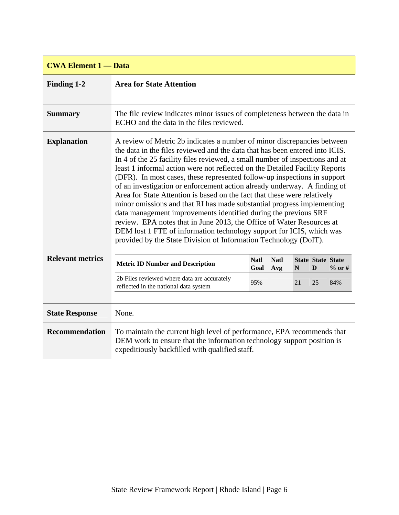| <b>CWA Element 1 — Data</b> |                                                                                                                                                                                                                                                                                                                                                                                                                                                                                                                                                                                                                                                                                                                                                                                                                                                                                                                              |                     |                    |    |                               |        |  |  |  |  |
|-----------------------------|------------------------------------------------------------------------------------------------------------------------------------------------------------------------------------------------------------------------------------------------------------------------------------------------------------------------------------------------------------------------------------------------------------------------------------------------------------------------------------------------------------------------------------------------------------------------------------------------------------------------------------------------------------------------------------------------------------------------------------------------------------------------------------------------------------------------------------------------------------------------------------------------------------------------------|---------------------|--------------------|----|-------------------------------|--------|--|--|--|--|
| <b>Finding 1-2</b>          | <b>Area for State Attention</b>                                                                                                                                                                                                                                                                                                                                                                                                                                                                                                                                                                                                                                                                                                                                                                                                                                                                                              |                     |                    |    |                               |        |  |  |  |  |
| <b>Summary</b>              | The file review indicates minor issues of completeness between the data in<br>ECHO and the data in the files reviewed.                                                                                                                                                                                                                                                                                                                                                                                                                                                                                                                                                                                                                                                                                                                                                                                                       |                     |                    |    |                               |        |  |  |  |  |
| <b>Explanation</b>          | A review of Metric 2b indicates a number of minor discrepancies between<br>the data in the files reviewed and the data that has been entered into ICIS.<br>In 4 of the 25 facility files reviewed, a small number of inspections and at<br>least 1 informal action were not reflected on the Detailed Facility Reports<br>(DFR). In most cases, these represented follow-up inspections in support<br>of an investigation or enforcement action already underway. A finding of<br>Area for State Attention is based on the fact that these were relatively<br>minor omissions and that RI has made substantial progress implementing<br>data management improvements identified during the previous SRF<br>review. EPA notes that in June 2013, the Office of Water Resources at<br>DEM lost 1 FTE of information technology support for ICIS, which was<br>provided by the State Division of Information Technology (DoIT). |                     |                    |    |                               |        |  |  |  |  |
| <b>Relevant metrics</b>     | <b>Metric ID Number and Description</b>                                                                                                                                                                                                                                                                                                                                                                                                                                                                                                                                                                                                                                                                                                                                                                                                                                                                                      | <b>Natl</b><br>Goal | <b>Natl</b><br>Avg | N  | <b>State State State</b><br>D | % or # |  |  |  |  |
|                             | 2b Files reviewed where data are accurately<br>reflected in the national data system                                                                                                                                                                                                                                                                                                                                                                                                                                                                                                                                                                                                                                                                                                                                                                                                                                         | 95%                 |                    | 21 | 25                            | 84%    |  |  |  |  |
| <b>State Response</b>       | None.                                                                                                                                                                                                                                                                                                                                                                                                                                                                                                                                                                                                                                                                                                                                                                                                                                                                                                                        |                     |                    |    |                               |        |  |  |  |  |
| <b>Recommendation</b>       | To maintain the current high level of performance, EPA recommends that<br>DEM work to ensure that the information technology support position is<br>expeditiously backfilled with qualified staff.                                                                                                                                                                                                                                                                                                                                                                                                                                                                                                                                                                                                                                                                                                                           |                     |                    |    |                               |        |  |  |  |  |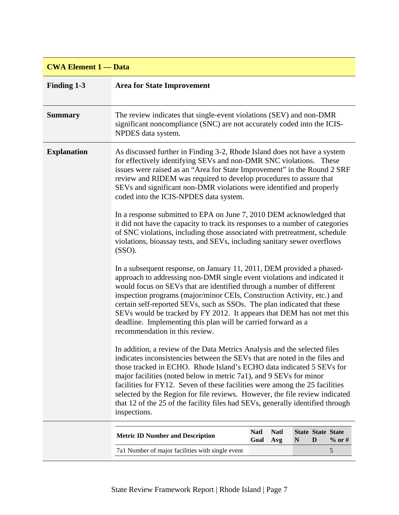### **CWA Element 1 — Data**

| <b>Finding 1-3</b> | <b>Area for State Improvement</b>                                                                                                                                                                                                                                                                                                                                                                                                                                                                                                                                     |                     |                    |   |                               |          |  |  |  |  |  |
|--------------------|-----------------------------------------------------------------------------------------------------------------------------------------------------------------------------------------------------------------------------------------------------------------------------------------------------------------------------------------------------------------------------------------------------------------------------------------------------------------------------------------------------------------------------------------------------------------------|---------------------|--------------------|---|-------------------------------|----------|--|--|--|--|--|
| <b>Summary</b>     | The review indicates that single-event violations (SEV) and non-DMR<br>significant noncompliance (SNC) are not accurately coded into the ICIS-<br>NPDES data system.                                                                                                                                                                                                                                                                                                                                                                                                  |                     |                    |   |                               |          |  |  |  |  |  |
| <b>Explanation</b> | As discussed further in Finding 3-2, Rhode Island does not have a system<br>for effectively identifying SEVs and non-DMR SNC violations. These<br>issues were raised as an "Area for State Improvement" in the Round 2 SRF<br>review and RIDEM was required to develop procedures to assure that<br>SEVs and significant non-DMR violations were identified and properly<br>coded into the ICIS-NPDES data system.                                                                                                                                                    |                     |                    |   |                               |          |  |  |  |  |  |
|                    | In a response submitted to EPA on June 7, 2010 DEM acknowledged that<br>it did not have the capacity to track its responses to a number of categories<br>of SNC violations, including those associated with pretreatment, schedule<br>violations, bioassay tests, and SEVs, including sanitary sewer overflows<br>(SSO).                                                                                                                                                                                                                                              |                     |                    |   |                               |          |  |  |  |  |  |
|                    | In a subsequent response, on January 11, 2011, DEM provided a phased-<br>approach to addressing non-DMR single event violations and indicated it<br>would focus on SEVs that are identified through a number of different<br>inspection programs (major/minor CEIs, Construction Activity, etc.) and<br>certain self-reported SEVs, such as SSOs. The plan indicated that these<br>SEVs would be tracked by FY 2012. It appears that DEM has not met this<br>deadline. Implementing this plan will be carried forward as a<br>recommendation in this review.          |                     |                    |   |                               |          |  |  |  |  |  |
|                    | In addition, a review of the Data Metrics Analysis and the selected files<br>indicates inconsistencies between the SEVs that are noted in the files and<br>those tracked in ECHO. Rhode Island's ECHO data indicated 5 SEVs for<br>major facilities (noted below in metric 7a1), and 9 SEVs for minor<br>facilities for FY12. Seven of these facilities were among the 25 facilities<br>selected by the Region for file reviews. However, the file review indicated<br>that 12 of the 25 of the facility files had SEVs, generally identified through<br>inspections. |                     |                    |   |                               |          |  |  |  |  |  |
|                    | <b>Metric ID Number and Description</b>                                                                                                                                                                                                                                                                                                                                                                                                                                                                                                                               | <b>Natl</b><br>Goal | <b>Natl</b><br>Avg | N | <b>State State State</b><br>D | $%$ or # |  |  |  |  |  |
|                    | 7a1 Number of major facilities with single event                                                                                                                                                                                                                                                                                                                                                                                                                                                                                                                      |                     |                    |   |                               | 5        |  |  |  |  |  |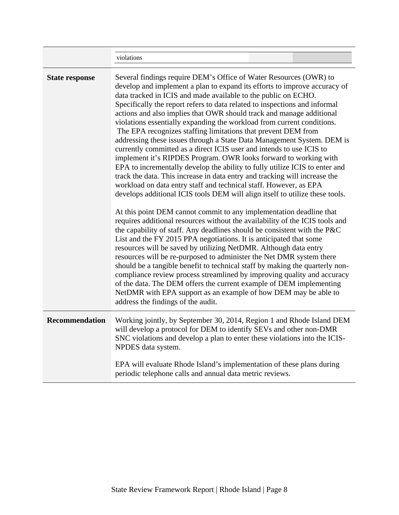| violations<br>Several findings require DEM's Office of Water Resources (OWR) to<br>data tracked in ICIS and made available to the public on ECHO.<br>Specifically the report refers to data related to inspections and informal<br>actions and also implies that OWR should track and manage additional<br>violations essentially expanding the workload from current conditions.<br>The EPA recognizes staffing limitations that prevent DEM from<br>currently committed as a direct ICIS user and intends to use ICIS to<br>implement it's RIPDES Program. OWR looks forward to working with<br>track the data. This increase in data entry and tracking will increase the<br>workload on data entry staff and technical staff. However, as EPA<br>At this point DEM cannot commit to any implementation deadline that<br>List and the FY 2015 PPA negotiations. It is anticipated that some<br>resources will be saved by utilizing NetDMR. Although data entry<br>resources will be re-purposed to administer the Net DMR system there |                                                                                                                                                                                                                                                                                                                                                                                                                                                                                                                                                                                                                                                                                                                                                                                                                           |  |  |  |  |  |  |  |  |
|--------------------------------------------------------------------------------------------------------------------------------------------------------------------------------------------------------------------------------------------------------------------------------------------------------------------------------------------------------------------------------------------------------------------------------------------------------------------------------------------------------------------------------------------------------------------------------------------------------------------------------------------------------------------------------------------------------------------------------------------------------------------------------------------------------------------------------------------------------------------------------------------------------------------------------------------------------------------------------------------------------------------------------------------|---------------------------------------------------------------------------------------------------------------------------------------------------------------------------------------------------------------------------------------------------------------------------------------------------------------------------------------------------------------------------------------------------------------------------------------------------------------------------------------------------------------------------------------------------------------------------------------------------------------------------------------------------------------------------------------------------------------------------------------------------------------------------------------------------------------------------|--|--|--|--|--|--|--|--|
| <b>State response</b>                                                                                                                                                                                                                                                                                                                                                                                                                                                                                                                                                                                                                                                                                                                                                                                                                                                                                                                                                                                                                      | develop and implement a plan to expand its efforts to improve accuracy of<br>addressing these issues through a State Data Management System. DEM is<br>EPA to incrementally develop the ability to fully utilize ICIS to enter and<br>develops additional ICIS tools DEM will align itself to utilize these tools.<br>requires additional resources without the availability of the ICIS tools and<br>the capability of staff. Any deadlines should be consistent with the P&C<br>should be a tangible benefit to technical staff by making the quarterly non-<br>compliance review process streamlined by improving quality and accuracy<br>of the data. The DEM offers the current example of DEM implementing<br>NetDMR with EPA support as an example of how DEM may be able to<br>address the findings of the audit. |  |  |  |  |  |  |  |  |
| <b>Recommendation</b>                                                                                                                                                                                                                                                                                                                                                                                                                                                                                                                                                                                                                                                                                                                                                                                                                                                                                                                                                                                                                      | Working jointly, by September 30, 2014, Region 1 and Rhode Island DEM<br>will develop a protocol for DEM to identify SEVs and other non-DMR<br>SNC violations and develop a plan to enter these violations into the ICIS-<br>NPDES data system.<br>EPA will evaluate Rhode Island's implementation of these plans during<br>periodic telephone calls and annual data metric reviews.                                                                                                                                                                                                                                                                                                                                                                                                                                      |  |  |  |  |  |  |  |  |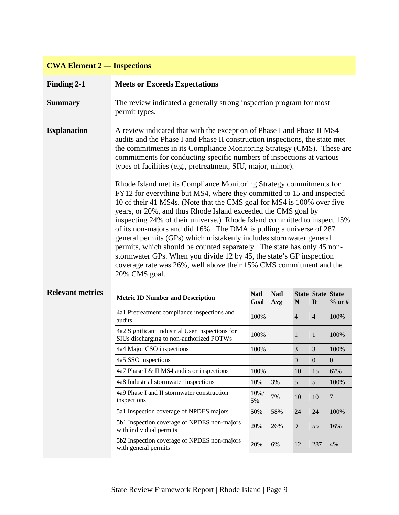| <b>CWA Element 2 — Inspections</b> |                                                                                                                                                                                                                                                                                                                                                                                                                                                 |                                                                                                                                                                                                                                                                                                                                                                                                                                                                                                                                                                                                                                                                   |                    |                |                               |              |  |  |  |  |
|------------------------------------|-------------------------------------------------------------------------------------------------------------------------------------------------------------------------------------------------------------------------------------------------------------------------------------------------------------------------------------------------------------------------------------------------------------------------------------------------|-------------------------------------------------------------------------------------------------------------------------------------------------------------------------------------------------------------------------------------------------------------------------------------------------------------------------------------------------------------------------------------------------------------------------------------------------------------------------------------------------------------------------------------------------------------------------------------------------------------------------------------------------------------------|--------------------|----------------|-------------------------------|--------------|--|--|--|--|
| <b>Finding 2-1</b>                 | <b>Meets or Exceeds Expectations</b>                                                                                                                                                                                                                                                                                                                                                                                                            |                                                                                                                                                                                                                                                                                                                                                                                                                                                                                                                                                                                                                                                                   |                    |                |                               |              |  |  |  |  |
| <b>Summary</b>                     | The review indicated a generally strong inspection program for most<br>permit types.                                                                                                                                                                                                                                                                                                                                                            |                                                                                                                                                                                                                                                                                                                                                                                                                                                                                                                                                                                                                                                                   |                    |                |                               |              |  |  |  |  |
| <b>Explanation</b>                 | A review indicated that with the exception of Phase I and Phase II MS4<br>audits and the Phase I and Phase II construction inspections, the state met<br>the commitments in its Compliance Monitoring Strategy (CMS). These are<br>commitments for conducting specific numbers of inspections at various<br>types of facilities (e.g., pretreatment, SIU, major, minor).<br>Rhode Island met its Compliance Monitoring Strategy commitments for |                                                                                                                                                                                                                                                                                                                                                                                                                                                                                                                                                                                                                                                                   |                    |                |                               |              |  |  |  |  |
|                                    | 20% CMS goal.                                                                                                                                                                                                                                                                                                                                                                                                                                   | FY12 for everything but MS4, where they committed to 15 and inspected<br>10 of their 41 MS4s. (Note that the CMS goal for MS4 is 100% over five<br>years, or 20%, and thus Rhode Island exceeded the CMS goal by<br>inspecting 24% of their universe.) Rhode Island committed to inspect 15%<br>of its non-majors and did 16%. The DMA is pulling a universe of 287<br>general permits (GPs) which mistakenly includes stormwater general<br>permits, which should be counted separately. The state has only 45 non-<br>stormwater GPs. When you divide 12 by 45, the state's GP inspection<br>coverage rate was 26%, well above their 15% CMS commitment and the |                    |                |                               |              |  |  |  |  |
| <b>Relevant metrics</b>            | <b>Metric ID Number and Description</b>                                                                                                                                                                                                                                                                                                                                                                                                         | <b>Natl</b><br>Goal                                                                                                                                                                                                                                                                                                                                                                                                                                                                                                                                                                                                                                               | <b>Natl</b><br>Avg | N              | <b>State State State</b><br>D | $%$ or #     |  |  |  |  |
|                                    | 4a1 Pretreatment compliance inspections and<br>audits                                                                                                                                                                                                                                                                                                                                                                                           | 100%                                                                                                                                                                                                                                                                                                                                                                                                                                                                                                                                                                                                                                                              |                    | $\overline{4}$ | $\overline{4}$                | 100%         |  |  |  |  |
|                                    | 4a2 Significant Industrial User inspections for<br>SIUs discharging to non-authorized POTWs                                                                                                                                                                                                                                                                                                                                                     | 100%                                                                                                                                                                                                                                                                                                                                                                                                                                                                                                                                                                                                                                                              |                    | $\mathbf{1}$   | $\mathbf{1}$                  | 100%         |  |  |  |  |
|                                    | 4a4 Major CSO inspections                                                                                                                                                                                                                                                                                                                                                                                                                       | 100%                                                                                                                                                                                                                                                                                                                                                                                                                                                                                                                                                                                                                                                              |                    | $\mathfrak{Z}$ | 3                             | 100%         |  |  |  |  |
|                                    | 4a5 SSO inspections                                                                                                                                                                                                                                                                                                                                                                                                                             |                                                                                                                                                                                                                                                                                                                                                                                                                                                                                                                                                                                                                                                                   |                    | $\overline{0}$ | $\overline{0}$                | $\mathbf{0}$ |  |  |  |  |
|                                    | 4a7 Phase I & II MS4 audits or inspections                                                                                                                                                                                                                                                                                                                                                                                                      | 100%                                                                                                                                                                                                                                                                                                                                                                                                                                                                                                                                                                                                                                                              |                    | 10             | 15                            | 67%          |  |  |  |  |
|                                    | 4a8 Industrial stormwater inspections                                                                                                                                                                                                                                                                                                                                                                                                           | 10%                                                                                                                                                                                                                                                                                                                                                                                                                                                                                                                                                                                                                                                               | 3%                 | $\sqrt{5}$     | 5                             | 100%         |  |  |  |  |
|                                    | 4a9 Phase I and II stormwater construction<br>inspections                                                                                                                                                                                                                                                                                                                                                                                       | 10%/<br>5%                                                                                                                                                                                                                                                                                                                                                                                                                                                                                                                                                                                                                                                        | 7%                 | 10             | 10                            | 7            |  |  |  |  |
|                                    | 5a1 Inspection coverage of NPDES majors                                                                                                                                                                                                                                                                                                                                                                                                         | 50%                                                                                                                                                                                                                                                                                                                                                                                                                                                                                                                                                                                                                                                               | 58%                | 24             | 24                            | 100%         |  |  |  |  |
|                                    | 5b1 Inspection coverage of NPDES non-majors<br>with individual permits                                                                                                                                                                                                                                                                                                                                                                          | 20%                                                                                                                                                                                                                                                                                                                                                                                                                                                                                                                                                                                                                                                               | 26%                | 9              | 55                            | 16%          |  |  |  |  |
|                                    | 5b2 Inspection coverage of NPDES non-majors<br>with general permits                                                                                                                                                                                                                                                                                                                                                                             | 20%                                                                                                                                                                                                                                                                                                                                                                                                                                                                                                                                                                                                                                                               | 6%                 | 12             | 287                           | 4%           |  |  |  |  |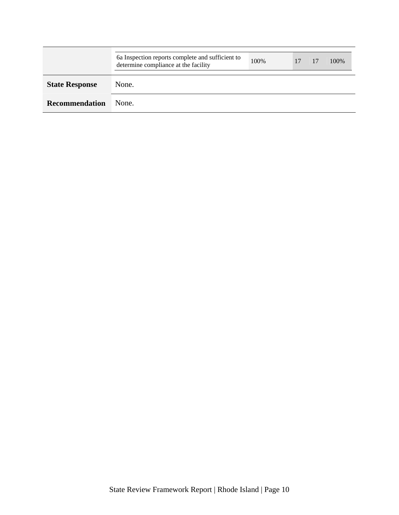|                       | 6a Inspection reports complete and sufficient to<br>determine compliance at the facility | 100\% | 17 | 100\% |
|-----------------------|------------------------------------------------------------------------------------------|-------|----|-------|
| <b>State Response</b> | None.                                                                                    |       |    |       |
| <b>Recommendation</b> | None.                                                                                    |       |    |       |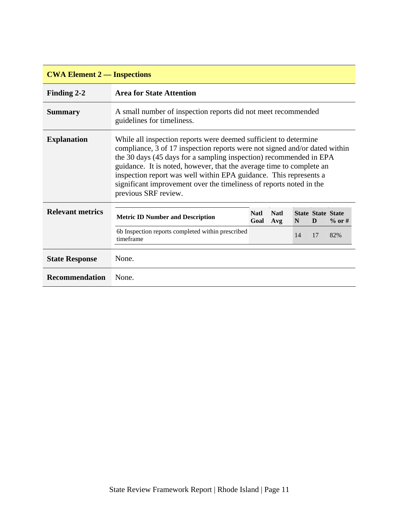| <b>CWA Element 2 — Inspections</b> |                                                                                                                                                                                                                                                                                                                                                                                                                                                                  |                     |                    |    |                               |           |  |  |  |  |
|------------------------------------|------------------------------------------------------------------------------------------------------------------------------------------------------------------------------------------------------------------------------------------------------------------------------------------------------------------------------------------------------------------------------------------------------------------------------------------------------------------|---------------------|--------------------|----|-------------------------------|-----------|--|--|--|--|
| Finding 2-2                        | <b>Area for State Attention</b>                                                                                                                                                                                                                                                                                                                                                                                                                                  |                     |                    |    |                               |           |  |  |  |  |
| <b>Summary</b>                     | A small number of inspection reports did not meet recommended<br>guidelines for timeliness.                                                                                                                                                                                                                                                                                                                                                                      |                     |                    |    |                               |           |  |  |  |  |
| <b>Explanation</b>                 | While all inspection reports were deemed sufficient to determine<br>compliance, 3 of 17 inspection reports were not signed and/or dated within<br>the 30 days (45 days for a sampling inspection) recommended in EPA<br>guidance. It is noted, however, that the average time to complete an<br>inspection report was well within EPA guidance. This represents a<br>significant improvement over the timeliness of reports noted in the<br>previous SRF review. |                     |                    |    |                               |           |  |  |  |  |
| <b>Relevant metrics</b>            | <b>Metric ID Number and Description</b>                                                                                                                                                                                                                                                                                                                                                                                                                          | <b>Natl</b><br>Goal | <b>Natl</b><br>Avg | N  | <b>State State State</b><br>D | $\%$ or # |  |  |  |  |
|                                    | 6b Inspection reports completed within prescribed<br>timeframe                                                                                                                                                                                                                                                                                                                                                                                                   |                     |                    | 14 | 17                            | 82%       |  |  |  |  |
| <b>State Response</b>              | None.                                                                                                                                                                                                                                                                                                                                                                                                                                                            |                     |                    |    |                               |           |  |  |  |  |
| <b>Recommendation</b>              | None.                                                                                                                                                                                                                                                                                                                                                                                                                                                            |                     |                    |    |                               |           |  |  |  |  |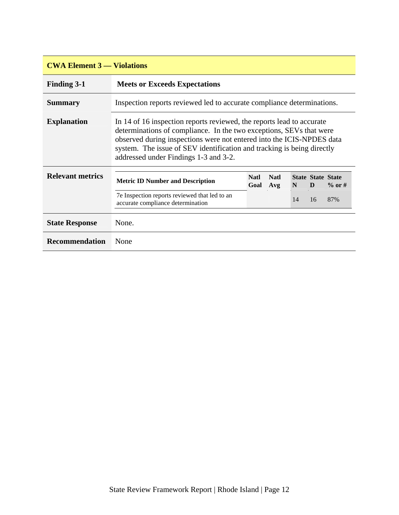| <b>CWA Element 3 — Violations</b> |                                                                                                                                                                                                                                                                                                                                          |                                                                        |                    |    |                               |          |  |  |  |
|-----------------------------------|------------------------------------------------------------------------------------------------------------------------------------------------------------------------------------------------------------------------------------------------------------------------------------------------------------------------------------------|------------------------------------------------------------------------|--------------------|----|-------------------------------|----------|--|--|--|
| <b>Finding 3-1</b>                | <b>Meets or Exceeds Expectations</b>                                                                                                                                                                                                                                                                                                     |                                                                        |                    |    |                               |          |  |  |  |
| <b>Summary</b>                    |                                                                                                                                                                                                                                                                                                                                          | Inspection reports reviewed led to accurate compliance determinations. |                    |    |                               |          |  |  |  |
| <b>Explanation</b>                | In 14 of 16 inspection reports reviewed, the reports lead to accurate<br>determinations of compliance. In the two exceptions, SEVs that were<br>observed during inspections were not entered into the ICIS-NPDES data<br>system. The issue of SEV identification and tracking is being directly<br>addressed under Findings 1-3 and 3-2. |                                                                        |                    |    |                               |          |  |  |  |
| <b>Relevant metrics</b>           | <b>Metric ID Number and Description</b>                                                                                                                                                                                                                                                                                                  | <b>Natl</b><br>Goal                                                    | <b>Natl</b><br>Avg | N  | <b>State State State</b><br>D | $%$ or # |  |  |  |
|                                   | 7e Inspection reports reviewed that led to an<br>accurate compliance determination                                                                                                                                                                                                                                                       |                                                                        |                    | 14 | 16                            | 87%      |  |  |  |
| <b>State Response</b>             | None.                                                                                                                                                                                                                                                                                                                                    |                                                                        |                    |    |                               |          |  |  |  |
| <b>Recommendation</b>             | None                                                                                                                                                                                                                                                                                                                                     |                                                                        |                    |    |                               |          |  |  |  |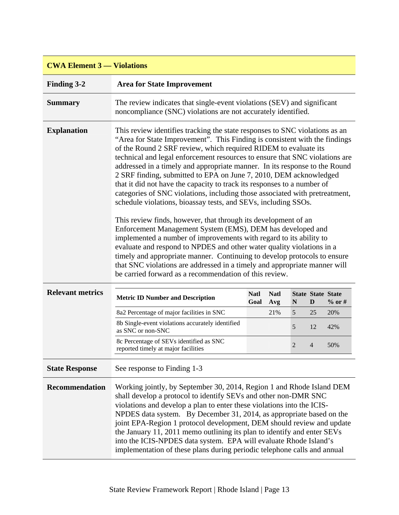| <b>CWA Element 3 — Violations</b> |                                                                                                                                                                                                                                                                                                                                                                                                                                                                                                                                                                                                                                                                                                                                                                                                                                                                                                                                                                                                                                                                                                                                                                                              |                     |                    |   |    |                                      |  |  |  |
|-----------------------------------|----------------------------------------------------------------------------------------------------------------------------------------------------------------------------------------------------------------------------------------------------------------------------------------------------------------------------------------------------------------------------------------------------------------------------------------------------------------------------------------------------------------------------------------------------------------------------------------------------------------------------------------------------------------------------------------------------------------------------------------------------------------------------------------------------------------------------------------------------------------------------------------------------------------------------------------------------------------------------------------------------------------------------------------------------------------------------------------------------------------------------------------------------------------------------------------------|---------------------|--------------------|---|----|--------------------------------------|--|--|--|
| <b>Finding 3-2</b>                | <b>Area for State Improvement</b>                                                                                                                                                                                                                                                                                                                                                                                                                                                                                                                                                                                                                                                                                                                                                                                                                                                                                                                                                                                                                                                                                                                                                            |                     |                    |   |    |                                      |  |  |  |
| <b>Summary</b>                    | The review indicates that single-event violations (SEV) and significant<br>noncompliance (SNC) violations are not accurately identified.                                                                                                                                                                                                                                                                                                                                                                                                                                                                                                                                                                                                                                                                                                                                                                                                                                                                                                                                                                                                                                                     |                     |                    |   |    |                                      |  |  |  |
| <b>Explanation</b>                | This review identifies tracking the state responses to SNC violations as an<br>"Area for State Improvement". This Finding is consistent with the findings<br>of the Round 2 SRF review, which required RIDEM to evaluate its<br>technical and legal enforcement resources to ensure that SNC violations are<br>addressed in a timely and appropriate manner. In its response to the Round<br>2 SRF finding, submitted to EPA on June 7, 2010, DEM acknowledged<br>that it did not have the capacity to track its responses to a number of<br>categories of SNC violations, including those associated with pretreatment,<br>schedule violations, bioassay tests, and SEVs, including SSOs.<br>This review finds, however, that through its development of an<br>Enforcement Management System (EMS), DEM has developed and<br>implemented a number of improvements with regard to its ability to<br>evaluate and respond to NPDES and other water quality violations in a<br>timely and appropriate manner. Continuing to develop protocols to ensure<br>that SNC violations are addressed in a timely and appropriate manner will<br>be carried forward as a recommendation of this review. |                     |                    |   |    |                                      |  |  |  |
| <b>Relevant metrics</b>           | <b>Metric ID Number and Description</b>                                                                                                                                                                                                                                                                                                                                                                                                                                                                                                                                                                                                                                                                                                                                                                                                                                                                                                                                                                                                                                                                                                                                                      | <b>Natl</b><br>Goal | <b>Natl</b><br>Avg | N | D  | <b>State State State</b><br>$%$ or # |  |  |  |
|                                   | 8a2 Percentage of major facilities in SNC                                                                                                                                                                                                                                                                                                                                                                                                                                                                                                                                                                                                                                                                                                                                                                                                                                                                                                                                                                                                                                                                                                                                                    |                     | 21%                | 5 | 25 | 20%                                  |  |  |  |
|                                   | 8b Single-event violations accurately identified<br>as SNC or non-SNC                                                                                                                                                                                                                                                                                                                                                                                                                                                                                                                                                                                                                                                                                                                                                                                                                                                                                                                                                                                                                                                                                                                        |                     |                    | 5 | 12 | 42%                                  |  |  |  |
|                                   | 8c Percentage of SEVs identified as SNC<br>reported timely at major facilities                                                                                                                                                                                                                                                                                                                                                                                                                                                                                                                                                                                                                                                                                                                                                                                                                                                                                                                                                                                                                                                                                                               |                     |                    | 2 | 4  | 50%                                  |  |  |  |
| <b>State Response</b>             | See response to Finding 1-3                                                                                                                                                                                                                                                                                                                                                                                                                                                                                                                                                                                                                                                                                                                                                                                                                                                                                                                                                                                                                                                                                                                                                                  |                     |                    |   |    |                                      |  |  |  |
| <b>Recommendation</b>             | Working jointly, by September 30, 2014, Region 1 and Rhode Island DEM<br>shall develop a protocol to identify SEVs and other non-DMR SNC<br>violations and develop a plan to enter these violations into the ICIS-<br>NPDES data system. By December 31, 2014, as appropriate based on the<br>joint EPA-Region 1 protocol development, DEM should review and update<br>the January 11, 2011 memo outlining its plan to identify and enter SEVs<br>into the ICIS-NPDES data system. EPA will evaluate Rhode Island's<br>implementation of these plans during periodic telephone calls and annual                                                                                                                                                                                                                                                                                                                                                                                                                                                                                                                                                                                              |                     |                    |   |    |                                      |  |  |  |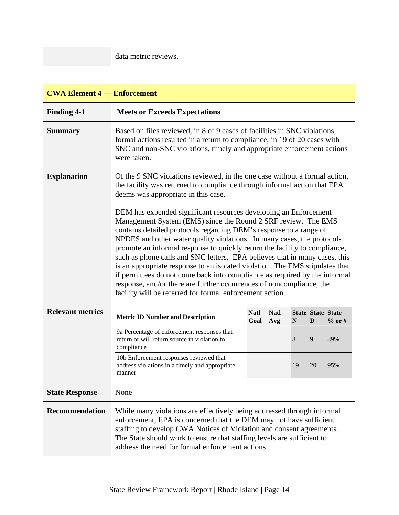data metric reviews.

| <b>CWA Element 4 – Enforcement</b> |                                                                                                                                                                                                                                                                                                                                                                                                                                                                                                                                                                                                                                                                                                                                                                                                                                                                                      |             |             |             |    |                          |  |  |  |
|------------------------------------|--------------------------------------------------------------------------------------------------------------------------------------------------------------------------------------------------------------------------------------------------------------------------------------------------------------------------------------------------------------------------------------------------------------------------------------------------------------------------------------------------------------------------------------------------------------------------------------------------------------------------------------------------------------------------------------------------------------------------------------------------------------------------------------------------------------------------------------------------------------------------------------|-------------|-------------|-------------|----|--------------------------|--|--|--|
| <b>Finding 4-1</b>                 | <b>Meets or Exceeds Expectations</b>                                                                                                                                                                                                                                                                                                                                                                                                                                                                                                                                                                                                                                                                                                                                                                                                                                                 |             |             |             |    |                          |  |  |  |
| <b>Summary</b>                     | Based on files reviewed, in 8 of 9 cases of facilities in SNC violations,<br>formal actions resulted in a return to compliance; in 19 of 20 cases with<br>SNC and non-SNC violations, timely and appropriate enforcement actions<br>were taken.                                                                                                                                                                                                                                                                                                                                                                                                                                                                                                                                                                                                                                      |             |             |             |    |                          |  |  |  |
| <b>Explanation</b>                 | Of the 9 SNC violations reviewed, in the one case without a formal action,<br>the facility was returned to compliance through informal action that EPA<br>deems was appropriate in this case.<br>DEM has expended significant resources developing an Enforcement<br>Management System (EMS) since the Round 2 SRF review. The EMS<br>contains detailed protocols regarding DEM's response to a range of<br>NPDES and other water quality violations. In many cases, the protocols<br>promote an informal response to quickly return the facility to compliance,<br>such as phone calls and SNC letters. EPA believes that in many cases, this<br>is an appropriate response to an isolated violation. The EMS stipulates that<br>if permittees do not come back into compliance as required by the informal<br>response, and/or there are further occurrences of noncompliance, the |             |             |             |    |                          |  |  |  |
| <b>Relevant metrics</b>            | facility will be referred for formal enforcement action.                                                                                                                                                                                                                                                                                                                                                                                                                                                                                                                                                                                                                                                                                                                                                                                                                             | <b>Natl</b> | <b>Natl</b> |             |    | <b>State State State</b> |  |  |  |
|                                    | <b>Metric ID Number and Description</b>                                                                                                                                                                                                                                                                                                                                                                                                                                                                                                                                                                                                                                                                                                                                                                                                                                              | Goal        | Avg         | $\mathbb N$ | D  | $%$ or #                 |  |  |  |
|                                    | 9a Percentage of enforcement responses that<br>return or will return source in violation to<br>compliance                                                                                                                                                                                                                                                                                                                                                                                                                                                                                                                                                                                                                                                                                                                                                                            |             |             | 8           | 9  | 89%                      |  |  |  |
|                                    | 10b Enforcement responses reviewed that<br>address violations in a timely and appropriate<br>manner                                                                                                                                                                                                                                                                                                                                                                                                                                                                                                                                                                                                                                                                                                                                                                                  |             |             | 19          | 20 | 95%                      |  |  |  |
| <b>State Response</b>              | None                                                                                                                                                                                                                                                                                                                                                                                                                                                                                                                                                                                                                                                                                                                                                                                                                                                                                 |             |             |             |    |                          |  |  |  |
| <b>Recommendation</b>              | While many violations are effectively being addressed through informal<br>enforcement, EPA is concerned that the DEM may not have sufficient<br>staffing to develop CWA Notices of Violation and consent agreements.<br>The State should work to ensure that staffing levels are sufficient to<br>address the need for formal enforcement actions.                                                                                                                                                                                                                                                                                                                                                                                                                                                                                                                                   |             |             |             |    |                          |  |  |  |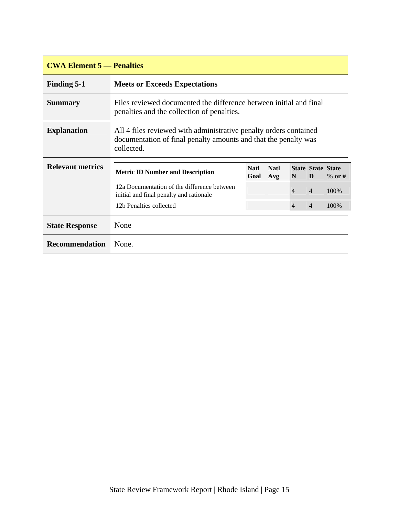| <b>CWA Element 5 — Penalties</b> |                                                                                                                                                    |                     |                    |                |                               |           |  |  |
|----------------------------------|----------------------------------------------------------------------------------------------------------------------------------------------------|---------------------|--------------------|----------------|-------------------------------|-----------|--|--|
| <b>Finding 5-1</b>               | <b>Meets or Exceeds Expectations</b>                                                                                                               |                     |                    |                |                               |           |  |  |
| <b>Summary</b>                   | Files reviewed documented the difference between initial and final<br>penalties and the collection of penalties.                                   |                     |                    |                |                               |           |  |  |
| <b>Explanation</b>               | All 4 files reviewed with administrative penalty orders contained<br>documentation of final penalty amounts and that the penalty was<br>collected. |                     |                    |                |                               |           |  |  |
| <b>Relevant metrics</b>          | <b>Metric ID Number and Description</b>                                                                                                            | <b>Natl</b><br>Goal | <b>Natl</b><br>Avg | N              | <b>State State State</b><br>D | $\%$ or # |  |  |
|                                  | 12a Documentation of the difference between<br>initial and final penalty and rationale                                                             |                     |                    | $\overline{4}$ | 4                             | 100%      |  |  |
|                                  | 12b Penalties collected                                                                                                                            |                     |                    | $\overline{4}$ | $\overline{4}$                | 100\%     |  |  |
| <b>State Response</b>            | None                                                                                                                                               |                     |                    |                |                               |           |  |  |
| <b>Recommendation</b>            | None.                                                                                                                                              |                     |                    |                |                               |           |  |  |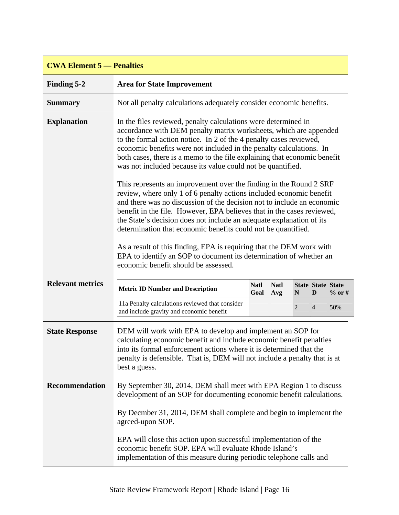| <b>CWA Element 5 — Penalties</b> |                                                                                                                                                                                                                                                                                                                                                                                                                                                                                                                                                                                                                                                                                                                                                                                                                                                                                                                                                                                                                                                             |                     |                    |                |                               |          |  |  |  |
|----------------------------------|-------------------------------------------------------------------------------------------------------------------------------------------------------------------------------------------------------------------------------------------------------------------------------------------------------------------------------------------------------------------------------------------------------------------------------------------------------------------------------------------------------------------------------------------------------------------------------------------------------------------------------------------------------------------------------------------------------------------------------------------------------------------------------------------------------------------------------------------------------------------------------------------------------------------------------------------------------------------------------------------------------------------------------------------------------------|---------------------|--------------------|----------------|-------------------------------|----------|--|--|--|
| Finding 5-2                      | <b>Area for State Improvement</b>                                                                                                                                                                                                                                                                                                                                                                                                                                                                                                                                                                                                                                                                                                                                                                                                                                                                                                                                                                                                                           |                     |                    |                |                               |          |  |  |  |
| <b>Summary</b>                   | Not all penalty calculations adequately consider economic benefits.                                                                                                                                                                                                                                                                                                                                                                                                                                                                                                                                                                                                                                                                                                                                                                                                                                                                                                                                                                                         |                     |                    |                |                               |          |  |  |  |
| <b>Explanation</b>               | In the files reviewed, penalty calculations were determined in<br>accordance with DEM penalty matrix worksheets, which are appended<br>to the formal action notice. In 2 of the 4 penalty cases reviewed,<br>economic benefits were not included in the penalty calculations. In<br>both cases, there is a memo to the file explaining that economic benefit<br>was not included because its value could not be quantified.<br>This represents an improvement over the finding in the Round 2 SRF<br>review, where only 1 of 6 penalty actions included economic benefit<br>and there was no discussion of the decision not to include an economic<br>benefit in the file. However, EPA believes that in the cases reviewed,<br>the State's decision does not include an adequate explanation of its<br>determination that economic benefits could not be quantified.<br>As a result of this finding, EPA is requiring that the DEM work with<br>EPA to identify an SOP to document its determination of whether an<br>economic benefit should be assessed. |                     |                    |                |                               |          |  |  |  |
| <b>Relevant metrics</b>          | <b>Metric ID Number and Description</b>                                                                                                                                                                                                                                                                                                                                                                                                                                                                                                                                                                                                                                                                                                                                                                                                                                                                                                                                                                                                                     | <b>Natl</b><br>Goal | <b>Natl</b><br>Avg | N              | <b>State State State</b><br>D | $%$ or # |  |  |  |
|                                  | 11a Penalty calculations reviewed that consider<br>and include gravity and economic benefit                                                                                                                                                                                                                                                                                                                                                                                                                                                                                                                                                                                                                                                                                                                                                                                                                                                                                                                                                                 |                     |                    | $\overline{2}$ | $\overline{4}$                | 50%      |  |  |  |
| <b>State Response</b>            | DEM will work with EPA to develop and implement an SOP for<br>calculating economic benefit and include economic benefit penalties<br>into its formal enforcement actions where it is determined that the<br>penalty is defensible. That is, DEM will not include a penalty that is at<br>best a guess.                                                                                                                                                                                                                                                                                                                                                                                                                                                                                                                                                                                                                                                                                                                                                      |                     |                    |                |                               |          |  |  |  |
|                                  |                                                                                                                                                                                                                                                                                                                                                                                                                                                                                                                                                                                                                                                                                                                                                                                                                                                                                                                                                                                                                                                             |                     |                    |                |                               |          |  |  |  |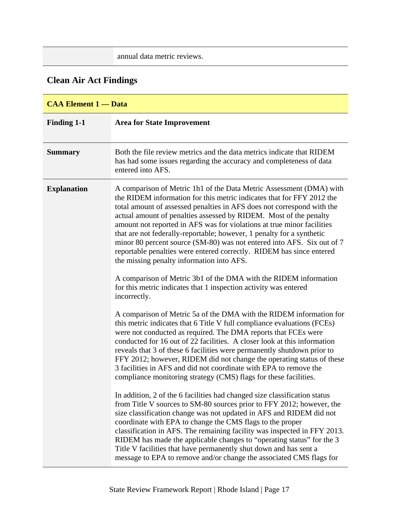annual data metric reviews.

# <span id="page-20-0"></span>**Clean Air Act Findings**

| <b>CAA Element 1 - Data</b> |                                                                                                                                                                                                                                                                                                                                                                                                                                                                                                                                                                                                                                               |
|-----------------------------|-----------------------------------------------------------------------------------------------------------------------------------------------------------------------------------------------------------------------------------------------------------------------------------------------------------------------------------------------------------------------------------------------------------------------------------------------------------------------------------------------------------------------------------------------------------------------------------------------------------------------------------------------|
| <b>Finding 1-1</b>          | <b>Area for State Improvement</b>                                                                                                                                                                                                                                                                                                                                                                                                                                                                                                                                                                                                             |
| <b>Summary</b>              | Both the file review metrics and the data metrics indicate that RIDEM<br>has had some issues regarding the accuracy and completeness of data<br>entered into AFS.                                                                                                                                                                                                                                                                                                                                                                                                                                                                             |
| <b>Explanation</b>          | A comparison of Metric 1h1 of the Data Metric Assessment (DMA) with<br>the RIDEM information for this metric indicates that for FFY 2012 the<br>total amount of assessed penalties in AFS does not correspond with the<br>actual amount of penalties assessed by RIDEM. Most of the penalty<br>amount not reported in AFS was for violations at true minor facilities<br>that are not federally-reportable; however, 1 penalty for a synthetic<br>minor 80 percent source (SM-80) was not entered into AFS. Six out of 7<br>reportable penalties were entered correctly. RIDEM has since entered<br>the missing penalty information into AFS. |
|                             | A comparison of Metric 3b1 of the DMA with the RIDEM information<br>for this metric indicates that 1 inspection activity was entered<br>incorrectly.                                                                                                                                                                                                                                                                                                                                                                                                                                                                                          |
|                             | A comparison of Metric 5a of the DMA with the RIDEM information for<br>this metric indicates that 6 Title V full compliance evaluations (FCEs)<br>were not conducted as required. The DMA reports that FCEs were<br>conducted for 16 out of 22 facilities. A closer look at this information<br>reveals that 3 of these 6 facilities were permanently shutdown prior to<br>FFY 2012; however, RIDEM did not change the operating status of these<br>3 facilities in AFS and did not coordinate with EPA to remove the<br>compliance monitoring strategy (CMS) flags for these facilities.                                                     |
|                             | In addition, 2 of the 6 facilities had changed size classification status<br>from Title V sources to SM-80 sources prior to FFY 2012; however, the<br>size classification change was not updated in AFS and RIDEM did not<br>coordinate with EPA to change the CMS flags to the proper<br>classification in AFS. The remaining facility was inspected in FFY 2013.<br>RIDEM has made the applicable changes to "operating status" for the 3<br>Title V facilities that have permanently shut down and has sent a<br>message to EPA to remove and/or change the associated CMS flags for                                                       |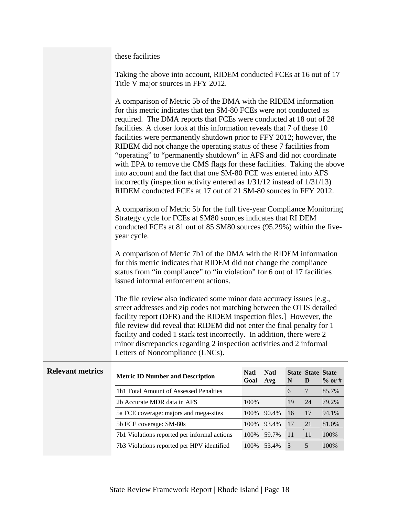these facilities

| Taking the above into account, RIDEM conducted FCEs at 16 out of 17 |  |
|---------------------------------------------------------------------|--|
| Title V major sources in FFY 2012.                                  |  |

| A comparison of Metric 5b of the DMA with the RIDEM information              |
|------------------------------------------------------------------------------|
| for this metric indicates that ten SM-80 FCEs were not conducted as          |
| required. The DMA reports that FCEs were conducted at 18 out of 28           |
| facilities. A closer look at this information reveals that 7 of these 10     |
| facilities were permanently shutdown prior to FFY 2012; however, the         |
| RIDEM did not change the operating status of these 7 facilities from         |
| "operating" to "permanently shutdown" in AFS and did not coordinate          |
| with EPA to remove the CMS flags for these facilities. Taking the above      |
| into account and the fact that one SM-80 FCE was entered into AFS            |
| incorrectly (inspection activity entered as $1/31/12$ instead of $1/31/13$ ) |
| RIDEM conducted FCEs at 17 out of 21 SM-80 sources in FFY 2012.              |

A comparison of Metric 5b for the full five-year Compliance Monitoring Strategy cycle for FCEs at SM80 sources indicates that RI DEM conducted FCEs at 81 out of 85 SM80 sources (95.29%) within the fiveyear cycle.

A comparison of Metric 7b1 of the DMA with the RIDEM information for this metric indicates that RIDEM did not change the compliance status from "in compliance" to "in violation" for 6 out of 17 facilities issued informal enforcement actions.

The file review also indicated some minor data accuracy issues [e.g., street addresses and zip codes not matching between the OTIS detailed facility report (DFR) and the RIDEM inspection files.] However, the file review did reveal that RIDEM did not enter the final penalty for 1 facility and coded 1 stack test incorrectly. In addition, there were 2 minor discrepancies regarding 2 inspection activities and 2 informal Letters of Noncompliance (LNCs).

| <b>Relevant metrics</b> | <b>Metric ID Number and Description</b>      | <b>Natl</b><br>Goal | <b>Natl</b><br>Avg | N   | <b>State State State</b><br>D | $\%$ or # |
|-------------------------|----------------------------------------------|---------------------|--------------------|-----|-------------------------------|-----------|
|                         | 1h1 Total Amount of Assessed Penalties       |                     |                    | 6   |                               | 85.7%     |
|                         | 2b Accurate MDR data in AFS                  | 100\%               |                    | 19  | 24                            | 79.2%     |
|                         | 5a FCE coverage: majors and mega-sites       | 100\%               | 90.4%              | 16  | 17                            | 94.1%     |
|                         | 5b FCE coverage: SM-80s                      | 100\%               | 93.4%              | 17  | 21                            | 81.0%     |
|                         | 7b1 Violations reported per informal actions | 100\%               | 59.7%              | -11 | 11                            | 100%      |
|                         | 7b3 Violations reported per HPV identified   | 100%                | 53.4%              | -5  | 5                             | 100%      |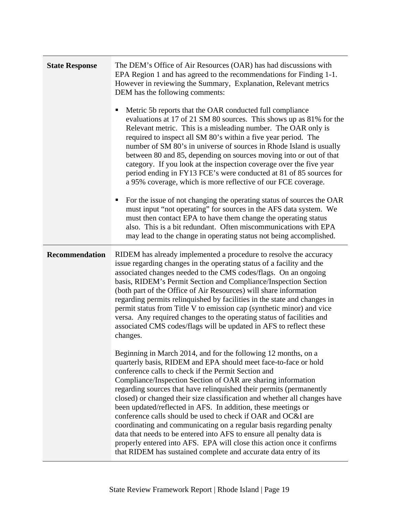| <b>State Response</b> | The DEM's Office of Air Resources (OAR) has had discussions with<br>EPA Region 1 and has agreed to the recommendations for Finding 1-1.<br>However in reviewing the Summary, Explanation, Relevant metrics<br>DEM has the following comments:<br>Metric 5b reports that the OAR conducted full compliance<br>evaluations at 17 of 21 SM 80 sources. This shows up as 81% for the<br>Relevant metric. This is a misleading number. The OAR only is<br>required to inspect all SM 80's within a five year period. The<br>number of SM 80's in universe of sources in Rhode Island is usually<br>between 80 and 85, depending on sources moving into or out of that<br>category. If you look at the inspection coverage over the five year<br>period ending in FY13 FCE's were conducted at 81 of 85 sources for<br>a 95% coverage, which is more reflective of our FCE coverage.<br>For the issue of not changing the operating status of sources the OAR<br>п<br>must input "not operating" for sources in the AFS data system. We<br>must then contact EPA to have them change the operating status<br>also. This is a bit redundant. Often miscommunications with EPA<br>may lead to the change in operating status not being accomplished.                                                                                                                                                                                                                                                                        |
|-----------------------|---------------------------------------------------------------------------------------------------------------------------------------------------------------------------------------------------------------------------------------------------------------------------------------------------------------------------------------------------------------------------------------------------------------------------------------------------------------------------------------------------------------------------------------------------------------------------------------------------------------------------------------------------------------------------------------------------------------------------------------------------------------------------------------------------------------------------------------------------------------------------------------------------------------------------------------------------------------------------------------------------------------------------------------------------------------------------------------------------------------------------------------------------------------------------------------------------------------------------------------------------------------------------------------------------------------------------------------------------------------------------------------------------------------------------------------------------------------------------------------------------------------------|
| <b>Recommendation</b> | RIDEM has already implemented a procedure to resolve the accuracy<br>issue regarding changes in the operating status of a facility and the<br>associated changes needed to the CMS codes/flags. On an ongoing<br>basis, RIDEM's Permit Section and Compliance/Inspection Section<br>(both part of the Office of Air Resources) will share information<br>regarding permits relinquished by facilities in the state and changes in<br>permit status from Title V to emission cap (synthetic minor) and vice<br>versa. Any required changes to the operating status of facilities and<br>associated CMS codes/flags will be updated in AFS to reflect these<br>changes.<br>Beginning in March 2014, and for the following 12 months, on a<br>quarterly basis, RIDEM and EPA should meet face-to-face or hold<br>conference calls to check if the Permit Section and<br>Compliance/Inspection Section of OAR are sharing information<br>regarding sources that have relinquished their permits (permanently<br>closed) or changed their size classification and whether all changes have<br>been updated/reflected in AFS. In addition, these meetings or<br>conference calls should be used to check if OAR and OC&I are<br>coordinating and communicating on a regular basis regarding penalty<br>data that needs to be entered into AFS to ensure all penalty data is<br>properly entered into AFS. EPA will close this action once it confirms<br>that RIDEM has sustained complete and accurate data entry of its |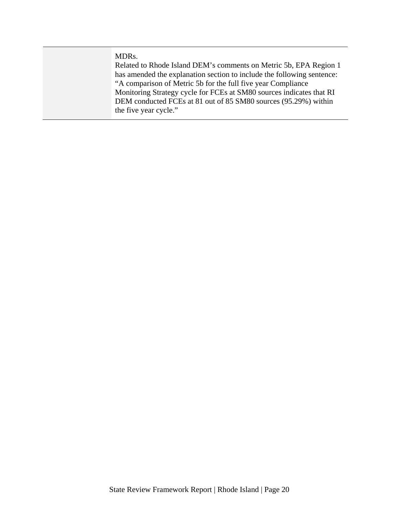MDRs.

Related to Rhode Island DEM's comments on Metric 5b, EPA Region 1 has amended the explanation section to include the following sentence: "A comparison of Metric 5b for the full five year Compliance Monitoring Strategy cycle for FCEs at SM80 sources indicates that RI DEM conducted FCEs at 81 out of 85 SM80 sources (95.29%) within the five year cycle."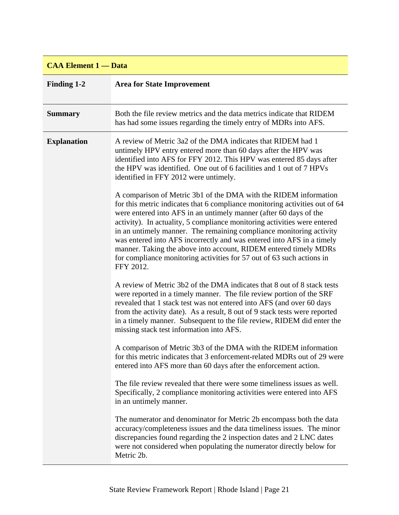## **CAA Element 1 — Data**

| <b>Finding 1-2</b> | <b>Area for State Improvement</b>                                                                                                                                                                                                                                                                                                                                                                                                                                                                                                                                                                          |
|--------------------|------------------------------------------------------------------------------------------------------------------------------------------------------------------------------------------------------------------------------------------------------------------------------------------------------------------------------------------------------------------------------------------------------------------------------------------------------------------------------------------------------------------------------------------------------------------------------------------------------------|
| <b>Summary</b>     | Both the file review metrics and the data metrics indicate that RIDEM<br>has had some issues regarding the timely entry of MDRs into AFS.                                                                                                                                                                                                                                                                                                                                                                                                                                                                  |
| <b>Explanation</b> | A review of Metric 3a2 of the DMA indicates that RIDEM had 1<br>untimely HPV entry entered more than 60 days after the HPV was<br>identified into AFS for FFY 2012. This HPV was entered 85 days after<br>the HPV was identified. One out of 6 facilities and 1 out of 7 HPVs<br>identified in FFY 2012 were untimely.                                                                                                                                                                                                                                                                                     |
|                    | A comparison of Metric 3b1 of the DMA with the RIDEM information<br>for this metric indicates that 6 compliance monitoring activities out of 64<br>were entered into AFS in an untimely manner (after 60 days of the<br>activity). In actuality, 5 compliance monitoring activities were entered<br>in an untimely manner. The remaining compliance monitoring activity<br>was entered into AFS incorrectly and was entered into AFS in a timely<br>manner. Taking the above into account, RIDEM entered timely MDRs<br>for compliance monitoring activities for 57 out of 63 such actions in<br>FFY 2012. |
|                    | A review of Metric 3b2 of the DMA indicates that 8 out of 8 stack tests<br>were reported in a timely manner. The file review portion of the SRF<br>revealed that 1 stack test was not entered into AFS (and over 60 days<br>from the activity date). As a result, 8 out of 9 stack tests were reported<br>in a timely manner. Subsequent to the file review, RIDEM did enter the<br>missing stack test information into AFS.                                                                                                                                                                               |
|                    | A comparison of Metric 3b3 of the DMA with the RIDEM information<br>for this metric indicates that 3 enforcement-related MDRs out of 29 were<br>entered into AFS more than 60 days after the enforcement action.                                                                                                                                                                                                                                                                                                                                                                                           |
|                    | The file review revealed that there were some timeliness issues as well.<br>Specifically, 2 compliance monitoring activities were entered into AFS<br>in an untimely manner.                                                                                                                                                                                                                                                                                                                                                                                                                               |
|                    | The numerator and denominator for Metric 2b encompass both the data<br>accuracy/completeness issues and the data timeliness issues. The minor<br>discrepancies found regarding the 2 inspection dates and 2 LNC dates<br>were not considered when populating the numerator directly below for<br>Metric 2b.                                                                                                                                                                                                                                                                                                |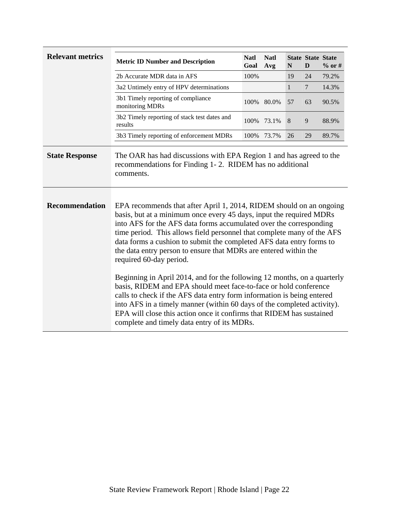| <b>Relevant metrics</b> | <b>Metric ID Number and Description</b>                                                                                                                                                                                                                                                                                                                                                                                                                                                                                                                                                                                                                                                                                                                                                                                                                                                       | <b>Natl</b><br>Goal | <b>Natl</b><br>Avg | N            | <b>State State State</b><br>D | $%$ or # |  |  |
|-------------------------|-----------------------------------------------------------------------------------------------------------------------------------------------------------------------------------------------------------------------------------------------------------------------------------------------------------------------------------------------------------------------------------------------------------------------------------------------------------------------------------------------------------------------------------------------------------------------------------------------------------------------------------------------------------------------------------------------------------------------------------------------------------------------------------------------------------------------------------------------------------------------------------------------|---------------------|--------------------|--------------|-------------------------------|----------|--|--|
|                         | 2b Accurate MDR data in AFS                                                                                                                                                                                                                                                                                                                                                                                                                                                                                                                                                                                                                                                                                                                                                                                                                                                                   | 100%                |                    | 19           | 24                            | 79.2%    |  |  |
|                         | 3a2 Untimely entry of HPV determinations                                                                                                                                                                                                                                                                                                                                                                                                                                                                                                                                                                                                                                                                                                                                                                                                                                                      |                     |                    | $\mathbf{1}$ | $\tau$                        | 14.3%    |  |  |
|                         | 3b1 Timely reporting of compliance<br>monitoring MDRs                                                                                                                                                                                                                                                                                                                                                                                                                                                                                                                                                                                                                                                                                                                                                                                                                                         | 100%                | 80.0%              | 57           | 63                            | 90.5%    |  |  |
|                         | 3b2 Timely reporting of stack test dates and<br>results                                                                                                                                                                                                                                                                                                                                                                                                                                                                                                                                                                                                                                                                                                                                                                                                                                       | 100%                | 73.1%              | 8            | 9                             | 88.9%    |  |  |
|                         | 3b3 Timely reporting of enforcement MDRs                                                                                                                                                                                                                                                                                                                                                                                                                                                                                                                                                                                                                                                                                                                                                                                                                                                      | 100%                | 73.7%              | 26           | 29                            | 89.7%    |  |  |
| <b>State Response</b>   | The OAR has had discussions with EPA Region 1 and has agreed to the<br>recommendations for Finding 1-2. RIDEM has no additional<br>comments.                                                                                                                                                                                                                                                                                                                                                                                                                                                                                                                                                                                                                                                                                                                                                  |                     |                    |              |                               |          |  |  |
| <b>Recommendation</b>   | EPA recommends that after April 1, 2014, RIDEM should on an ongoing<br>basis, but at a minimum once every 45 days, input the required MDRs<br>into AFS for the AFS data forms accumulated over the corresponding<br>time period. This allows field personnel that complete many of the AFS<br>data forms a cushion to submit the completed AFS data entry forms to<br>the data entry person to ensure that MDRs are entered within the<br>required 60-day period.<br>Beginning in April 2014, and for the following 12 months, on a quarterly<br>basis, RIDEM and EPA should meet face-to-face or hold conference<br>calls to check if the AFS data entry form information is being entered<br>into AFS in a timely manner (within 60 days of the completed activity).<br>EPA will close this action once it confirms that RIDEM has sustained<br>complete and timely data entry of its MDRs. |                     |                    |              |                               |          |  |  |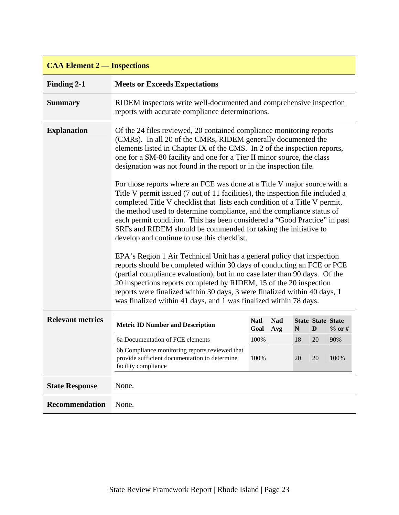| <b>CAA Element 2 — Inspections</b> |                                                                                                                                                                                               |                                                                                                                                                                                                                                                                                                                                                                                                                                                                                                                                                                                                                                                                                                                                                                                                                                                                                                                                                                                                                                                                                                                                                 |                    |    |                               |          |  |  |  |  |
|------------------------------------|-----------------------------------------------------------------------------------------------------------------------------------------------------------------------------------------------|-------------------------------------------------------------------------------------------------------------------------------------------------------------------------------------------------------------------------------------------------------------------------------------------------------------------------------------------------------------------------------------------------------------------------------------------------------------------------------------------------------------------------------------------------------------------------------------------------------------------------------------------------------------------------------------------------------------------------------------------------------------------------------------------------------------------------------------------------------------------------------------------------------------------------------------------------------------------------------------------------------------------------------------------------------------------------------------------------------------------------------------------------|--------------------|----|-------------------------------|----------|--|--|--|--|
| Finding 2-1                        | <b>Meets or Exceeds Expectations</b>                                                                                                                                                          |                                                                                                                                                                                                                                                                                                                                                                                                                                                                                                                                                                                                                                                                                                                                                                                                                                                                                                                                                                                                                                                                                                                                                 |                    |    |                               |          |  |  |  |  |
| <b>Summary</b>                     | RIDEM inspectors write well-documented and comprehensive inspection<br>reports with accurate compliance determinations.                                                                       |                                                                                                                                                                                                                                                                                                                                                                                                                                                                                                                                                                                                                                                                                                                                                                                                                                                                                                                                                                                                                                                                                                                                                 |                    |    |                               |          |  |  |  |  |
| <b>Explanation</b>                 | develop and continue to use this checklist.<br>reports were finalized within 30 days, 3 were finalized within 40 days, 1<br>was finalized within 41 days, and 1 was finalized within 78 days. | Of the 24 files reviewed, 20 contained compliance monitoring reports<br>(CMRs). In all 20 of the CMRs, RIDEM generally documented the<br>elements listed in Chapter IX of the CMS. In 2 of the inspection reports,<br>one for a SM-80 facility and one for a Tier II minor source, the class<br>designation was not found in the report or in the inspection file.<br>For those reports where an FCE was done at a Title V major source with a<br>Title V permit issued (7 out of 11 facilities), the inspection file included a<br>completed Title V checklist that lists each condition of a Title V permit,<br>the method used to determine compliance, and the compliance status of<br>each permit condition. This has been considered a "Good Practice" in past<br>SRFs and RIDEM should be commended for taking the initiative to<br>EPA's Region 1 Air Technical Unit has a general policy that inspection<br>reports should be completed within 30 days of conducting an FCE or PCE<br>(partial compliance evaluation), but in no case later than 90 days. Of the<br>20 inspections reports completed by RIDEM, 15 of the 20 inspection |                    |    |                               |          |  |  |  |  |
| <b>Relevant metrics</b>            | <b>Metric ID Number and Description</b>                                                                                                                                                       | <b>Natl</b><br>Goal                                                                                                                                                                                                                                                                                                                                                                                                                                                                                                                                                                                                                                                                                                                                                                                                                                                                                                                                                                                                                                                                                                                             | <b>Natl</b><br>Avg | N  | <b>State State State</b><br>D | $%$ or # |  |  |  |  |
|                                    | 6a Documentation of FCE elements                                                                                                                                                              | 100%                                                                                                                                                                                                                                                                                                                                                                                                                                                                                                                                                                                                                                                                                                                                                                                                                                                                                                                                                                                                                                                                                                                                            |                    | 18 | 20                            | 90%      |  |  |  |  |
|                                    | 6b Compliance monitoring reports reviewed that<br>provide sufficient documentation to determine<br>facility compliance                                                                        | 100%                                                                                                                                                                                                                                                                                                                                                                                                                                                                                                                                                                                                                                                                                                                                                                                                                                                                                                                                                                                                                                                                                                                                            |                    | 20 | 20                            | 100%     |  |  |  |  |
| <b>State Response</b>              | None.                                                                                                                                                                                         |                                                                                                                                                                                                                                                                                                                                                                                                                                                                                                                                                                                                                                                                                                                                                                                                                                                                                                                                                                                                                                                                                                                                                 |                    |    |                               |          |  |  |  |  |
| <b>Recommendation</b>              | None.                                                                                                                                                                                         |                                                                                                                                                                                                                                                                                                                                                                                                                                                                                                                                                                                                                                                                                                                                                                                                                                                                                                                                                                                                                                                                                                                                                 |                    |    |                               |          |  |  |  |  |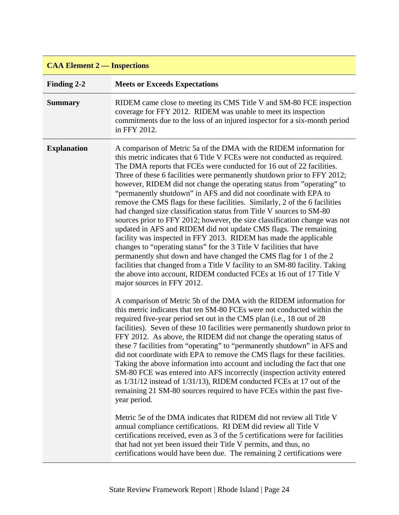| <b>CAA Element 2 — Inspections</b> |                                                                                                                                                                                                                                                                                                                                                                                                                                                                                                                                                                                                                                                                                                                                                                                                                                                                                                                                                                                                                                                                                                                                                                                                                                                      |
|------------------------------------|------------------------------------------------------------------------------------------------------------------------------------------------------------------------------------------------------------------------------------------------------------------------------------------------------------------------------------------------------------------------------------------------------------------------------------------------------------------------------------------------------------------------------------------------------------------------------------------------------------------------------------------------------------------------------------------------------------------------------------------------------------------------------------------------------------------------------------------------------------------------------------------------------------------------------------------------------------------------------------------------------------------------------------------------------------------------------------------------------------------------------------------------------------------------------------------------------------------------------------------------------|
| Finding 2-2                        | <b>Meets or Exceeds Expectations</b>                                                                                                                                                                                                                                                                                                                                                                                                                                                                                                                                                                                                                                                                                                                                                                                                                                                                                                                                                                                                                                                                                                                                                                                                                 |
| <b>Summary</b>                     | RIDEM came close to meeting its CMS Title V and SM-80 FCE inspection<br>coverage for FFY 2012. RIDEM was unable to meet its inspection<br>commitments due to the loss of an injured inspector for a six-month period<br>in FFY 2012.                                                                                                                                                                                                                                                                                                                                                                                                                                                                                                                                                                                                                                                                                                                                                                                                                                                                                                                                                                                                                 |
| <b>Explanation</b>                 | A comparison of Metric 5a of the DMA with the RIDEM information for<br>this metric indicates that 6 Title V FCEs were not conducted as required.<br>The DMA reports that FCEs were conducted for 16 out of 22 facilities.<br>Three of these 6 facilities were permanently shutdown prior to FFY 2012;<br>however, RIDEM did not change the operating status from "operating" to<br>"permanently shutdown" in AFS and did not coordinate with EPA to<br>remove the CMS flags for these facilities. Similarly, 2 of the 6 facilities<br>had changed size classification status from Title V sources to SM-80<br>sources prior to FFY 2012; however, the size classification change was not<br>updated in AFS and RIDEM did not update CMS flags. The remaining<br>facility was inspected in FFY 2013. RIDEM has made the applicable<br>changes to "operating status" for the 3 Title V facilities that have<br>permanently shut down and have changed the CMS flag for 1 of the 2<br>facilities that changed from a Title V facility to an SM-80 facility. Taking<br>the above into account, RIDEM conducted FCEs at 16 out of 17 Title V<br>major sources in FFY 2012.                                                                                |
|                                    | A comparison of Metric 5b of the DMA with the RIDEM information for<br>this metric indicates that ten SM-80 FCEs were not conducted within the<br>required five-year period set out in the CMS plan (i.e., 18 out of 28<br>facilities). Seven of these 10 facilities were permanently shutdown prior to<br>FFY 2012. As above, the RIDEM did not change the operating status of<br>these 7 facilities from "operating" to "permanently shutdown" in AFS and<br>did not coordinate with EPA to remove the CMS flags for these facilities.<br>Taking the above information into account and including the fact that one<br>SM-80 FCE was entered into AFS incorrectly (inspection activity entered<br>as $1/31/12$ instead of $1/31/13$ ), RIDEM conducted FCEs at 17 out of the<br>remaining 21 SM-80 sources required to have FCEs within the past five-<br>year period.<br>Metric 5e of the DMA indicates that RIDEM did not review all Title V<br>annual compliance certifications. RI DEM did review all Title V<br>certifications received, even as 3 of the 5 certifications were for facilities<br>that had not yet been issued their Title V permits, and thus, no<br>certifications would have been due. The remaining 2 certifications were |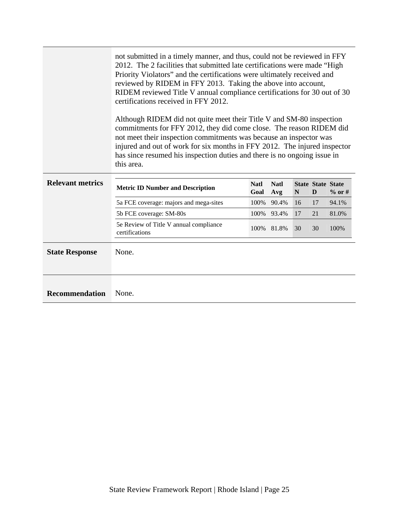|                         | not submitted in a timely manner, and thus, could not be reviewed in FFY<br>2012. The 2 facilities that submitted late certifications were made "High<br>Priority Violators" and the certifications were ultimately received and<br>reviewed by RIDEM in FFY 2013. Taking the above into account,<br>RIDEM reviewed Title V annual compliance certifications for 30 out of 30<br>certifications received in FFY 2012.<br>Although RIDEM did not quite meet their Title V and SM-80 inspection<br>commitments for FFY 2012, they did come close. The reason RIDEM did<br>not meet their inspection commitments was because an inspector was<br>injured and out of work for six months in FFY 2012. The injured inspector<br>has since resumed his inspection duties and there is no ongoing issue in<br>this area. |                     |                    |    |                               |          |  |  |  |
|-------------------------|-------------------------------------------------------------------------------------------------------------------------------------------------------------------------------------------------------------------------------------------------------------------------------------------------------------------------------------------------------------------------------------------------------------------------------------------------------------------------------------------------------------------------------------------------------------------------------------------------------------------------------------------------------------------------------------------------------------------------------------------------------------------------------------------------------------------|---------------------|--------------------|----|-------------------------------|----------|--|--|--|
| <b>Relevant metrics</b> | <b>Metric ID Number and Description</b>                                                                                                                                                                                                                                                                                                                                                                                                                                                                                                                                                                                                                                                                                                                                                                           | <b>Natl</b><br>Goal | <b>Natl</b><br>Avg | N  | <b>State State State</b><br>D | $%$ or # |  |  |  |
|                         | 5a FCE coverage: majors and mega-sites                                                                                                                                                                                                                                                                                                                                                                                                                                                                                                                                                                                                                                                                                                                                                                            | 100%                | 90.4%              | 16 | 17                            | 94.1%    |  |  |  |
|                         | 5b FCE coverage: SM-80s                                                                                                                                                                                                                                                                                                                                                                                                                                                                                                                                                                                                                                                                                                                                                                                           |                     | 100% 93.4%         | 17 | 21                            | 81.0%    |  |  |  |
|                         | 5e Review of Title V annual compliance<br>certifications                                                                                                                                                                                                                                                                                                                                                                                                                                                                                                                                                                                                                                                                                                                                                          |                     | 100% 81.8%         | 30 | 30                            | 100%     |  |  |  |
| <b>State Response</b>   | None.                                                                                                                                                                                                                                                                                                                                                                                                                                                                                                                                                                                                                                                                                                                                                                                                             |                     |                    |    |                               |          |  |  |  |
| <b>Recommendation</b>   | None.                                                                                                                                                                                                                                                                                                                                                                                                                                                                                                                                                                                                                                                                                                                                                                                                             |                     |                    |    |                               |          |  |  |  |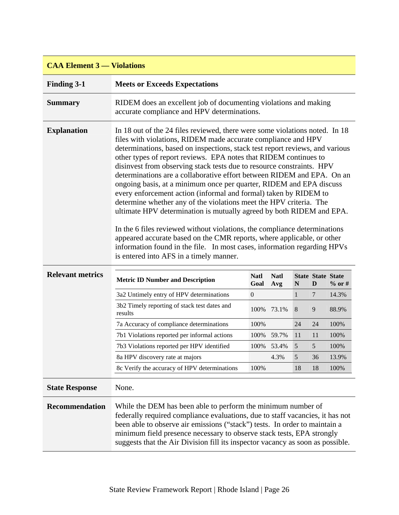| <b>CAA Element 3 — Violations</b> |                                                                                                                                                                                                                                                                                                                                                                                                                                                                                                                                                                                                                                                                                                                                                                                                                                                                                                                                                                                                                            |                     |                    |              |                               |          |  |  |  |
|-----------------------------------|----------------------------------------------------------------------------------------------------------------------------------------------------------------------------------------------------------------------------------------------------------------------------------------------------------------------------------------------------------------------------------------------------------------------------------------------------------------------------------------------------------------------------------------------------------------------------------------------------------------------------------------------------------------------------------------------------------------------------------------------------------------------------------------------------------------------------------------------------------------------------------------------------------------------------------------------------------------------------------------------------------------------------|---------------------|--------------------|--------------|-------------------------------|----------|--|--|--|
| <b>Finding 3-1</b>                | <b>Meets or Exceeds Expectations</b>                                                                                                                                                                                                                                                                                                                                                                                                                                                                                                                                                                                                                                                                                                                                                                                                                                                                                                                                                                                       |                     |                    |              |                               |          |  |  |  |
| <b>Summary</b>                    | RIDEM does an excellent job of documenting violations and making<br>accurate compliance and HPV determinations.                                                                                                                                                                                                                                                                                                                                                                                                                                                                                                                                                                                                                                                                                                                                                                                                                                                                                                            |                     |                    |              |                               |          |  |  |  |
| <b>Explanation</b>                | In 18 out of the 24 files reviewed, there were some violations noted. In 18<br>files with violations, RIDEM made accurate compliance and HPV<br>determinations, based on inspections, stack test report reviews, and various<br>other types of report reviews. EPA notes that RIDEM continues to<br>disinvest from observing stack tests due to resource constraints. HPV<br>determinations are a collaborative effort between RIDEM and EPA. On an<br>ongoing basis, at a minimum once per quarter, RIDEM and EPA discuss<br>every enforcement action (informal and formal) taken by RIDEM to<br>determine whether any of the violations meet the HPV criteria. The<br>ultimate HPV determination is mutually agreed by both RIDEM and EPA.<br>In the 6 files reviewed without violations, the compliance determinations<br>appeared accurate based on the CMR reports, where applicable, or other<br>information found in the file. In most cases, information regarding HPVs<br>is entered into AFS in a timely manner. |                     |                    |              |                               |          |  |  |  |
| <b>Relevant metrics</b>           | <b>Metric ID Number and Description</b>                                                                                                                                                                                                                                                                                                                                                                                                                                                                                                                                                                                                                                                                                                                                                                                                                                                                                                                                                                                    | <b>Natl</b><br>Goal | <b>Natl</b><br>Avg | N            | <b>State State State</b><br>D | $%$ or # |  |  |  |
|                                   | 3a2 Untimely entry of HPV determinations                                                                                                                                                                                                                                                                                                                                                                                                                                                                                                                                                                                                                                                                                                                                                                                                                                                                                                                                                                                   | $\boldsymbol{0}$    |                    | $\mathbf{1}$ | 7                             | 14.3%    |  |  |  |
|                                   | 3b2 Timely reporting of stack test dates and<br>results                                                                                                                                                                                                                                                                                                                                                                                                                                                                                                                                                                                                                                                                                                                                                                                                                                                                                                                                                                    | 100%                | 73.1%              | $\,8\,$      | 9                             | 88.9%    |  |  |  |
|                                   | 7a Accuracy of compliance determinations                                                                                                                                                                                                                                                                                                                                                                                                                                                                                                                                                                                                                                                                                                                                                                                                                                                                                                                                                                                   | 100%                |                    | 24           | 24                            | 100%     |  |  |  |
|                                   | 7b1 Violations reported per informal actions                                                                                                                                                                                                                                                                                                                                                                                                                                                                                                                                                                                                                                                                                                                                                                                                                                                                                                                                                                               | 100%                | 59.7%              | 11           | 11                            | 100%     |  |  |  |
|                                   | 7b3 Violations reported per HPV identified                                                                                                                                                                                                                                                                                                                                                                                                                                                                                                                                                                                                                                                                                                                                                                                                                                                                                                                                                                                 |                     | 100% 53.4%         | 5            | 5                             | 100%     |  |  |  |
|                                   | 8a HPV discovery rate at majors                                                                                                                                                                                                                                                                                                                                                                                                                                                                                                                                                                                                                                                                                                                                                                                                                                                                                                                                                                                            |                     | 4.3%               | 5            | 36                            | 13.9%    |  |  |  |
|                                   | 8c Verify the accuracy of HPV determinations                                                                                                                                                                                                                                                                                                                                                                                                                                                                                                                                                                                                                                                                                                                                                                                                                                                                                                                                                                               | 100%                |                    | 18           | 18                            | 100%     |  |  |  |
| <b>State Response</b>             | None.                                                                                                                                                                                                                                                                                                                                                                                                                                                                                                                                                                                                                                                                                                                                                                                                                                                                                                                                                                                                                      |                     |                    |              |                               |          |  |  |  |
| Recommendation                    | While the DEM has been able to perform the minimum number of<br>federally required compliance evaluations, due to staff vacancies, it has not<br>been able to observe air emissions ("stack") tests. In order to maintain a<br>minimum field presence necessary to observe stack tests, EPA strongly<br>suggests that the Air Division fill its inspector vacancy as soon as possible.                                                                                                                                                                                                                                                                                                                                                                                                                                                                                                                                                                                                                                     |                     |                    |              |                               |          |  |  |  |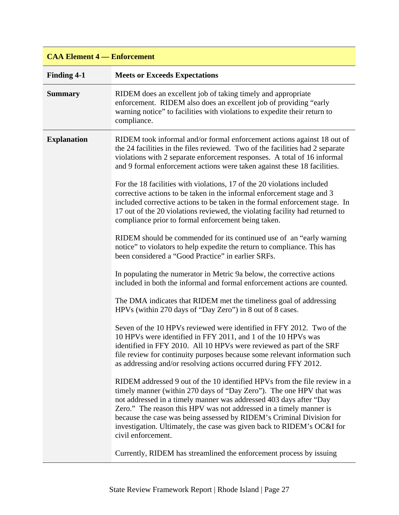| <b>CAA Element 4 – Enforcement</b> |                                                                                                                                                                                                                                                                                                                                                                                                                                                                                                                                                                                                                                                                                                                                                                                                                                                                                                                                                                                                                                                                                                                                                                                                                                                                                                                                                                                                                                                                                                                                                                                                                                                                                                                                                                                                                                                                                                                                                                                                                                             |  |  |  |
|------------------------------------|---------------------------------------------------------------------------------------------------------------------------------------------------------------------------------------------------------------------------------------------------------------------------------------------------------------------------------------------------------------------------------------------------------------------------------------------------------------------------------------------------------------------------------------------------------------------------------------------------------------------------------------------------------------------------------------------------------------------------------------------------------------------------------------------------------------------------------------------------------------------------------------------------------------------------------------------------------------------------------------------------------------------------------------------------------------------------------------------------------------------------------------------------------------------------------------------------------------------------------------------------------------------------------------------------------------------------------------------------------------------------------------------------------------------------------------------------------------------------------------------------------------------------------------------------------------------------------------------------------------------------------------------------------------------------------------------------------------------------------------------------------------------------------------------------------------------------------------------------------------------------------------------------------------------------------------------------------------------------------------------------------------------------------------------|--|--|--|
| <b>Finding 4-1</b>                 | <b>Meets or Exceeds Expectations</b>                                                                                                                                                                                                                                                                                                                                                                                                                                                                                                                                                                                                                                                                                                                                                                                                                                                                                                                                                                                                                                                                                                                                                                                                                                                                                                                                                                                                                                                                                                                                                                                                                                                                                                                                                                                                                                                                                                                                                                                                        |  |  |  |
| <b>Summary</b>                     | RIDEM does an excellent job of taking timely and appropriate<br>enforcement. RIDEM also does an excellent job of providing "early<br>warning notice" to facilities with violations to expedite their return to<br>compliance.                                                                                                                                                                                                                                                                                                                                                                                                                                                                                                                                                                                                                                                                                                                                                                                                                                                                                                                                                                                                                                                                                                                                                                                                                                                                                                                                                                                                                                                                                                                                                                                                                                                                                                                                                                                                               |  |  |  |
| <b>Explanation</b>                 | RIDEM took informal and/or formal enforcement actions against 18 out of<br>the 24 facilities in the files reviewed. Two of the facilities had 2 separate<br>violations with 2 separate enforcement responses. A total of 16 informal<br>and 9 formal enforcement actions were taken against these 18 facilities.<br>For the 18 facilities with violations, 17 of the 20 violations included<br>corrective actions to be taken in the informal enforcement stage and 3<br>included corrective actions to be taken in the formal enforcement stage. In<br>17 out of the 20 violations reviewed, the violating facility had returned to<br>compliance prior to formal enforcement being taken.<br>RIDEM should be commended for its continued use of an "early warning<br>notice" to violators to help expedite the return to compliance. This has<br>been considered a "Good Practice" in earlier SRFs.<br>In populating the numerator in Metric 9a below, the corrective actions<br>included in both the informal and formal enforcement actions are counted.<br>The DMA indicates that RIDEM met the timeliness goal of addressing<br>HPVs (within 270 days of "Day Zero") in 8 out of 8 cases.<br>Seven of the 10 HPVs reviewed were identified in FFY 2012. Two of the<br>10 HPVs were identified in FFY 2011, and 1 of the 10 HPVs was<br>identified in FFY 2010. All 10 HPVs were reviewed as part of the SRF<br>file review for continuity purposes because some relevant information such<br>as addressing and/or resolving actions occurred during FFY 2012.<br>RIDEM addressed 9 out of the 10 identified HPVs from the file review in a<br>timely manner (within 270 days of "Day Zero"). The one HPV that was<br>not addressed in a timely manner was addressed 403 days after "Day<br>Zero." The reason this HPV was not addressed in a timely manner is<br>because the case was being assessed by RIDEM's Criminal Division for<br>investigation. Ultimately, the case was given back to RIDEM's OC&I for<br>civil enforcement. |  |  |  |
|                                    | Currently, RIDEM has streamlined the enforcement process by issuing                                                                                                                                                                                                                                                                                                                                                                                                                                                                                                                                                                                                                                                                                                                                                                                                                                                                                                                                                                                                                                                                                                                                                                                                                                                                                                                                                                                                                                                                                                                                                                                                                                                                                                                                                                                                                                                                                                                                                                         |  |  |  |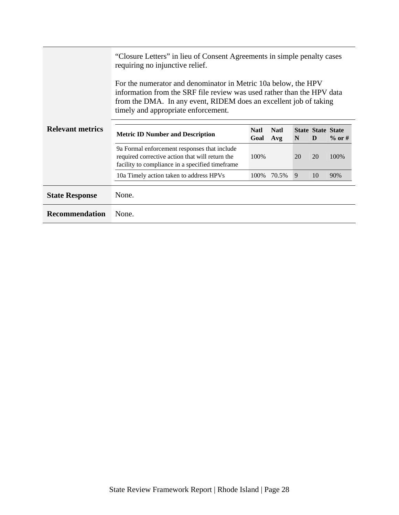|                         | "Closure Letters" in lieu of Consent Agreements in simple penalty cases<br>requiring no injunctive relief.<br>For the numerator and denominator in Metric 10a below, the HPV<br>information from the SRF file review was used rather than the HPV data<br>from the DMA. In any event, RIDEM does an excellent job of taking<br>timely and appropriate enforcement. |                     |                    |    |                               |           |
|-------------------------|--------------------------------------------------------------------------------------------------------------------------------------------------------------------------------------------------------------------------------------------------------------------------------------------------------------------------------------------------------------------|---------------------|--------------------|----|-------------------------------|-----------|
| <b>Relevant metrics</b> | <b>Metric ID Number and Description</b>                                                                                                                                                                                                                                                                                                                            | <b>Natl</b><br>Goal | <b>Natl</b><br>Avg | N  | <b>State State State</b><br>D | $\%$ or # |
|                         | 9a Formal enforcement responses that include<br>required corrective action that will return the<br>facility to compliance in a specified timeframe                                                                                                                                                                                                                 | 100\%               |                    | 20 | 20                            | 100\%     |
|                         | 10a Timely action taken to address HPVs                                                                                                                                                                                                                                                                                                                            | 100\%               | 70.5%              | 9  | 10                            | 90%       |
| <b>State Response</b>   | None.                                                                                                                                                                                                                                                                                                                                                              |                     |                    |    |                               |           |
| <b>Recommendation</b>   | None.                                                                                                                                                                                                                                                                                                                                                              |                     |                    |    |                               |           |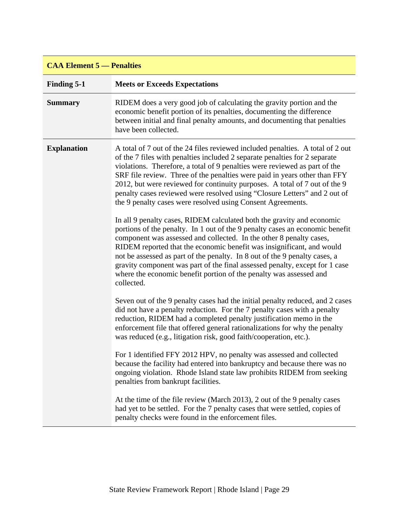| <b>CAA Element 5 — Penalties</b> |                                                                                                                                                                                                                                                                                                                                                                                                                                                                                                                                                                                                                                                                                                                                                                                                                                                                                                                                                                                                                                                                                                |
|----------------------------------|------------------------------------------------------------------------------------------------------------------------------------------------------------------------------------------------------------------------------------------------------------------------------------------------------------------------------------------------------------------------------------------------------------------------------------------------------------------------------------------------------------------------------------------------------------------------------------------------------------------------------------------------------------------------------------------------------------------------------------------------------------------------------------------------------------------------------------------------------------------------------------------------------------------------------------------------------------------------------------------------------------------------------------------------------------------------------------------------|
| <b>Finding 5-1</b>               | <b>Meets or Exceeds Expectations</b>                                                                                                                                                                                                                                                                                                                                                                                                                                                                                                                                                                                                                                                                                                                                                                                                                                                                                                                                                                                                                                                           |
| <b>Summary</b>                   | RIDEM does a very good job of calculating the gravity portion and the<br>economic benefit portion of its penalties, documenting the difference<br>between initial and final penalty amounts, and documenting that penalties<br>have been collected.                                                                                                                                                                                                                                                                                                                                                                                                                                                                                                                                                                                                                                                                                                                                                                                                                                            |
| <b>Explanation</b>               | A total of 7 out of the 24 files reviewed included penalties. A total of 2 out<br>of the 7 files with penalties included 2 separate penalties for 2 separate<br>violations. Therefore, a total of 9 penalties were reviewed as part of the<br>SRF file review. Three of the penalties were paid in years other than FFY<br>2012, but were reviewed for continuity purposes. A total of 7 out of the 9<br>penalty cases reviewed were resolved using "Closure Letters" and 2 out of<br>the 9 penalty cases were resolved using Consent Agreements.<br>In all 9 penalty cases, RIDEM calculated both the gravity and economic<br>portions of the penalty. In 1 out of the 9 penalty cases an economic benefit<br>component was assessed and collected. In the other 8 penalty cases,<br>RIDEM reported that the economic benefit was insignificant, and would<br>not be assessed as part of the penalty. In 8 out of the 9 penalty cases, a<br>gravity component was part of the final assessed penalty, except for 1 case<br>where the economic benefit portion of the penalty was assessed and |
|                                  | collected.<br>Seven out of the 9 penalty cases had the initial penalty reduced, and 2 cases<br>did not have a penalty reduction. For the 7 penalty cases with a penalty<br>reduction, RIDEM had a completed penalty justification memo in the<br>enforcement file that offered general rationalizations for why the penalty<br>was reduced (e.g., litigation risk, good faith/cooperation, etc.).<br>For 1 identified FFY 2012 HPV, no penalty was assessed and collected<br>because the facility had entered into bankruptcy and because there was no<br>ongoing violation. Rhode Island state law prohibits RIDEM from seeking<br>penalties from bankrupt facilities.<br>At the time of the file review (March 2013), 2 out of the 9 penalty cases<br>had yet to be settled. For the 7 penalty cases that were settled, copies of<br>penalty checks were found in the enforcement files.                                                                                                                                                                                                     |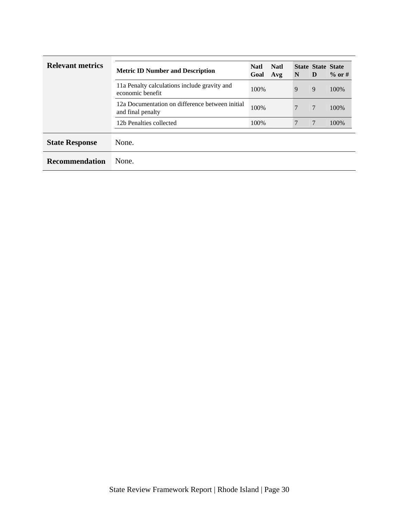| <b>Relevant metrics</b> | <b>Metric ID Number and Description</b>                              | <b>Natl</b><br>Goal | <b>Natl</b><br>Avg | N | <b>State State State</b><br>D | $\%$ or # |
|-------------------------|----------------------------------------------------------------------|---------------------|--------------------|---|-------------------------------|-----------|
|                         | 11a Penalty calculations include gravity and<br>economic benefit     | 100%                |                    | 9 | 9                             | 100\%     |
|                         | 12a Documentation on difference between initial<br>and final penalty | 100%                |                    | 7 | $7\phantom{.0}$               | 100\%     |
|                         | 12b Penalties collected                                              | 100%                |                    | 7 | 7                             | 100%      |
| <b>State Response</b>   | None.                                                                |                     |                    |   |                               |           |
| <b>Recommendation</b>   | None.                                                                |                     |                    |   |                               |           |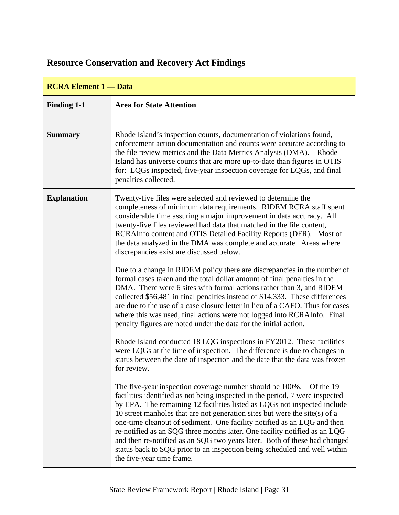# <span id="page-34-0"></span>**Resource Conservation and Recovery Act Findings**

| <b>RCRA Element 1 — Data</b> |                                                                                                                                                                                                                                                                                                                                                                                                                                                                                                                                                                                                                                                                   |  |  |  |
|------------------------------|-------------------------------------------------------------------------------------------------------------------------------------------------------------------------------------------------------------------------------------------------------------------------------------------------------------------------------------------------------------------------------------------------------------------------------------------------------------------------------------------------------------------------------------------------------------------------------------------------------------------------------------------------------------------|--|--|--|
| <b>Finding 1-1</b>           | <b>Area for State Attention</b>                                                                                                                                                                                                                                                                                                                                                                                                                                                                                                                                                                                                                                   |  |  |  |
| <b>Summary</b>               | Rhode Island's inspection counts, documentation of violations found,<br>enforcement action documentation and counts were accurate according to<br>the file review metrics and the Data Metrics Analysis (DMA).<br>Rhode<br>Island has universe counts that are more up-to-date than figures in OTIS<br>for: LQGs inspected, five-year inspection coverage for LQGs, and final<br>penalties collected.                                                                                                                                                                                                                                                             |  |  |  |
| <b>Explanation</b>           | Twenty-five files were selected and reviewed to determine the<br>completeness of minimum data requirements. RIDEM RCRA staff spent<br>considerable time assuring a major improvement in data accuracy. All<br>twenty-five files reviewed had data that matched in the file content,<br>RCRAInfo content and OTIS Detailed Facility Reports (DFR). Most of<br>the data analyzed in the DMA was complete and accurate. Areas where<br>discrepancies exist are discussed below.                                                                                                                                                                                      |  |  |  |
|                              | Due to a change in RIDEM policy there are discrepancies in the number of<br>formal cases taken and the total dollar amount of final penalties in the<br>DMA. There were 6 sites with formal actions rather than 3, and RIDEM<br>collected \$56,481 in final penalties instead of \$14,333. These differences<br>are due to the use of a case closure letter in lieu of a CAFO. Thus for cases<br>where this was used, final actions were not logged into RCRAInfo. Final<br>penalty figures are noted under the data for the initial action.                                                                                                                      |  |  |  |
|                              | Rhode Island conducted 18 LQG inspections in FY2012. These facilities<br>were LQGs at the time of inspection. The difference is due to changes in<br>status between the date of inspection and the date that the data was frozen<br>for review.                                                                                                                                                                                                                                                                                                                                                                                                                   |  |  |  |
|                              | The five-year inspection coverage number should be 100%.<br>Of the 19<br>facilities identified as not being inspected in the period, 7 were inspected<br>by EPA. The remaining 12 facilities listed as LQGs not inspected include<br>10 street manholes that are not generation sites but were the site $(s)$ of a<br>one-time cleanout of sediment. One facility notified as an LQG and then<br>re-notified as an SQG three months later. One facility notified as an LQG<br>and then re-notified as an SQG two years later. Both of these had changed<br>status back to SQG prior to an inspection being scheduled and well within<br>the five-year time frame. |  |  |  |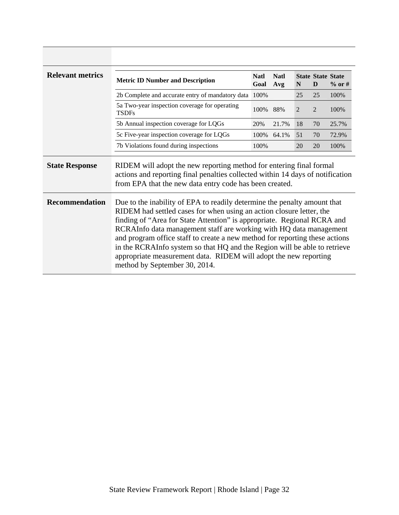| <b>Relevant metrics</b> | <b>Metric ID Number and Description</b>                                                                                                                                                                                                                                                                                                                                                                                                                                                                                                                            | <b>Natl</b><br>Goal | <b>Natl</b><br>Avg | N              | <b>State State State</b><br>D | $\%$ or # |
|-------------------------|--------------------------------------------------------------------------------------------------------------------------------------------------------------------------------------------------------------------------------------------------------------------------------------------------------------------------------------------------------------------------------------------------------------------------------------------------------------------------------------------------------------------------------------------------------------------|---------------------|--------------------|----------------|-------------------------------|-----------|
|                         | 2b Complete and accurate entry of mandatory data 100%                                                                                                                                                                                                                                                                                                                                                                                                                                                                                                              |                     |                    | 25             | 25                            | 100\%     |
|                         | 5a Two-year inspection coverage for operating<br><b>TSDFs</b>                                                                                                                                                                                                                                                                                                                                                                                                                                                                                                      | 100%                | 88%                | $\overline{2}$ | $\overline{2}$                | 100%      |
|                         | 5b Annual inspection coverage for LQGs                                                                                                                                                                                                                                                                                                                                                                                                                                                                                                                             | 20%                 | 21.7%              | 18             | 70                            | 25.7%     |
|                         | 5c Five-year inspection coverage for LQGs                                                                                                                                                                                                                                                                                                                                                                                                                                                                                                                          | 100\%               | 64.1%              | 51             | 70                            | 72.9%     |
|                         | 7b Violations found during inspections                                                                                                                                                                                                                                                                                                                                                                                                                                                                                                                             | 100\%               |                    | 20             | 20                            | 100%      |
| <b>State Response</b>   | RIDEM will adopt the new reporting method for entering final formal<br>actions and reporting final penalties collected within 14 days of notification<br>from EPA that the new data entry code has been created.                                                                                                                                                                                                                                                                                                                                                   |                     |                    |                |                               |           |
| <b>Recommendation</b>   | Due to the inability of EPA to readily determine the penalty amount that<br>RIDEM had settled cases for when using an action closure letter, the<br>finding of "Area for State Attention" is appropriate. Regional RCRA and<br>RCRAInfo data management staff are working with HQ data management<br>and program office staff to create a new method for reporting these actions<br>in the RCRAInfo system so that HQ and the Region will be able to retrieve<br>appropriate measurement data. RIDEM will adopt the new reporting<br>method by September 30, 2014. |                     |                    |                |                               |           |

 $\overline{\phantom{a}}$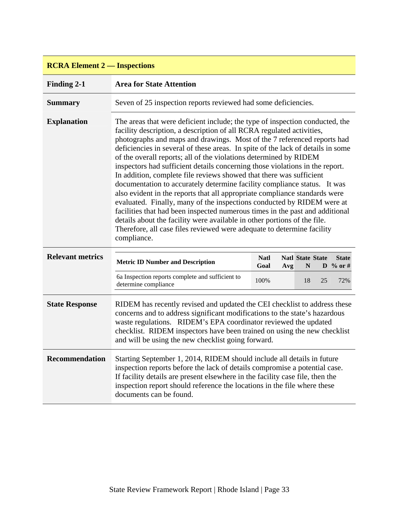| <b>RCRA Element 2 — Inspections</b> |                                                                                                                                                                                                                                                                                                                                                                                                                                                                                                                                                                                                                                                                                                                                                                                                                                                                                                                                                                                                                                          |                                                                |     |                              |    |                                     |
|-------------------------------------|------------------------------------------------------------------------------------------------------------------------------------------------------------------------------------------------------------------------------------------------------------------------------------------------------------------------------------------------------------------------------------------------------------------------------------------------------------------------------------------------------------------------------------------------------------------------------------------------------------------------------------------------------------------------------------------------------------------------------------------------------------------------------------------------------------------------------------------------------------------------------------------------------------------------------------------------------------------------------------------------------------------------------------------|----------------------------------------------------------------|-----|------------------------------|----|-------------------------------------|
| <b>Finding 2-1</b>                  | <b>Area for State Attention</b>                                                                                                                                                                                                                                                                                                                                                                                                                                                                                                                                                                                                                                                                                                                                                                                                                                                                                                                                                                                                          |                                                                |     |                              |    |                                     |
| <b>Summary</b>                      |                                                                                                                                                                                                                                                                                                                                                                                                                                                                                                                                                                                                                                                                                                                                                                                                                                                                                                                                                                                                                                          | Seven of 25 inspection reports reviewed had some deficiencies. |     |                              |    |                                     |
| <b>Explanation</b>                  | The areas that were deficient include; the type of inspection conducted, the<br>facility description, a description of all RCRA regulated activities,<br>photographs and maps and drawings. Most of the 7 referenced reports had<br>deficiencies in several of these areas. In spite of the lack of details in some<br>of the overall reports; all of the violations determined by RIDEM<br>inspectors had sufficient details concerning those violations in the report.<br>In addition, complete file reviews showed that there was sufficient<br>documentation to accurately determine facility compliance status. It was<br>also evident in the reports that all appropriate compliance standards were<br>evaluated. Finally, many of the inspections conducted by RIDEM were at<br>facilities that had been inspected numerous times in the past and additional<br>details about the facility were available in other portions of the file.<br>Therefore, all case files reviewed were adequate to determine facility<br>compliance. |                                                                |     |                              |    |                                     |
| <b>Relevant metrics</b>             | <b>Metric ID Number and Description</b>                                                                                                                                                                                                                                                                                                                                                                                                                                                                                                                                                                                                                                                                                                                                                                                                                                                                                                                                                                                                  | <b>Natl</b><br>Goal                                            | Avg | <b>Natl State State</b><br>N |    | <b>State</b><br>$\mathbf{D}$ % or # |
|                                     | 6a Inspection reports complete and sufficient to<br>determine compliance                                                                                                                                                                                                                                                                                                                                                                                                                                                                                                                                                                                                                                                                                                                                                                                                                                                                                                                                                                 | 100%                                                           |     | 18                           | 25 | 72%                                 |
| <b>State Response</b>               | RIDEM has recently revised and updated the CEI checklist to address these<br>concerns and to address significant modifications to the state's hazardous<br>waste regulations. RIDEM's EPA coordinator reviewed the updated<br>checklist. RIDEM inspectors have been trained on using the new checklist<br>and will be using the new checklist going forward.                                                                                                                                                                                                                                                                                                                                                                                                                                                                                                                                                                                                                                                                             |                                                                |     |                              |    |                                     |
| <b>Recommendation</b>               | Starting September 1, 2014, RIDEM should include all details in future<br>inspection reports before the lack of details compromise a potential case.<br>If facility details are present elsewhere in the facility case file, then the<br>inspection report should reference the locations in the file where these<br>documents can be found.                                                                                                                                                                                                                                                                                                                                                                                                                                                                                                                                                                                                                                                                                             |                                                                |     |                              |    |                                     |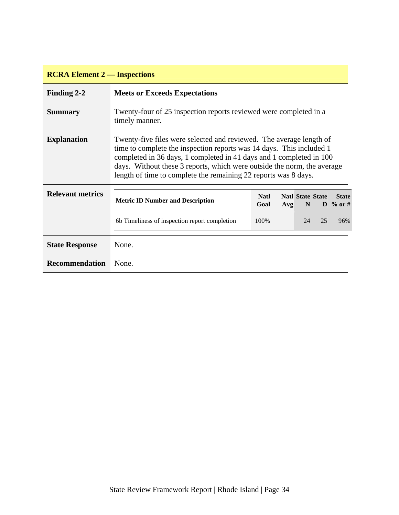| <b>RCRA Element 2 — Inspections</b> |                                                                                                                                                                                                                                                                                                                                                                  |                     |     |                              |    |                                     |
|-------------------------------------|------------------------------------------------------------------------------------------------------------------------------------------------------------------------------------------------------------------------------------------------------------------------------------------------------------------------------------------------------------------|---------------------|-----|------------------------------|----|-------------------------------------|
| Finding 2-2                         | <b>Meets or Exceeds Expectations</b>                                                                                                                                                                                                                                                                                                                             |                     |     |                              |    |                                     |
| <b>Summary</b>                      | Twenty-four of 25 inspection reports reviewed were completed in a<br>timely manner.                                                                                                                                                                                                                                                                              |                     |     |                              |    |                                     |
| <b>Explanation</b>                  | Twenty-five files were selected and reviewed. The average length of<br>time to complete the inspection reports was 14 days. This included 1<br>completed in 36 days, 1 completed in 41 days and 1 completed in 100<br>days. Without these 3 reports, which were outside the norm, the average<br>length of time to complete the remaining 22 reports was 8 days. |                     |     |                              |    |                                     |
| <b>Relevant metrics</b>             | <b>Metric ID Number and Description</b>                                                                                                                                                                                                                                                                                                                          | <b>Natl</b><br>Goal | Avg | <b>Natl State State</b><br>N |    | <b>State</b><br>$\mathbf{D}$ % or # |
|                                     | 6b Timeliness of inspection report completion                                                                                                                                                                                                                                                                                                                    | 100\%               |     | 24                           | 25 | 96%                                 |
| <b>State Response</b>               | None.                                                                                                                                                                                                                                                                                                                                                            |                     |     |                              |    |                                     |
| <b>Recommendation</b>               | None.                                                                                                                                                                                                                                                                                                                                                            |                     |     |                              |    |                                     |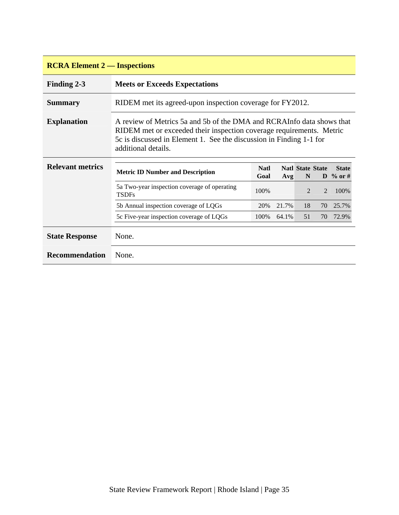| <b>RCRA Element 2 — Inspections</b> |                                                                                                                                                                                                                                             |                     |       |                              |                |                          |
|-------------------------------------|---------------------------------------------------------------------------------------------------------------------------------------------------------------------------------------------------------------------------------------------|---------------------|-------|------------------------------|----------------|--------------------------|
| Finding 2-3                         | <b>Meets or Exceeds Expectations</b>                                                                                                                                                                                                        |                     |       |                              |                |                          |
| <b>Summary</b>                      | RIDEM met its agreed-upon inspection coverage for FY2012.                                                                                                                                                                                   |                     |       |                              |                |                          |
| <b>Explanation</b>                  | A review of Metrics 5a and 5b of the DMA and RCRAInfo data shows that<br>RIDEM met or exceeded their inspection coverage requirements. Metric<br>5c is discussed in Element 1. See the discussion in Finding 1-1 for<br>additional details. |                     |       |                              |                |                          |
| <b>Relevant metrics</b>             | <b>Metric ID Number and Description</b>                                                                                                                                                                                                     | <b>Natl</b><br>Goal | Avg   | <b>Natl State State</b><br>N |                | <b>State</b><br>D % or # |
|                                     | 5a Two-year inspection coverage of operating<br><b>TSDFs</b>                                                                                                                                                                                | 100%                |       | $\mathfrak{D}$               | $\mathfrak{D}$ | 100%                     |
|                                     | 5b Annual inspection coverage of LQGs                                                                                                                                                                                                       | 20%                 | 21.7% | 18                           | 70             | 25.7%                    |
|                                     | 5c Five-year inspection coverage of LQGs                                                                                                                                                                                                    | 100%                | 64.1% | 51                           |                | 70 72.9%                 |
| <b>State Response</b>               | None.                                                                                                                                                                                                                                       |                     |       |                              |                |                          |
| Recommendation                      | None.                                                                                                                                                                                                                                       |                     |       |                              |                |                          |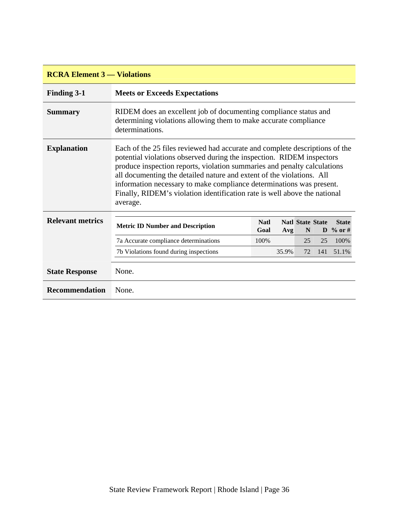| <b>RCRA Element 3 — Violations</b> |                                                                                                                                                                                                                                                                                                                                                                                                                                                                            |                                                                                                                                      |       |                              |     |                                     |
|------------------------------------|----------------------------------------------------------------------------------------------------------------------------------------------------------------------------------------------------------------------------------------------------------------------------------------------------------------------------------------------------------------------------------------------------------------------------------------------------------------------------|--------------------------------------------------------------------------------------------------------------------------------------|-------|------------------------------|-----|-------------------------------------|
| <b>Finding 3-1</b>                 | <b>Meets or Exceeds Expectations</b>                                                                                                                                                                                                                                                                                                                                                                                                                                       |                                                                                                                                      |       |                              |     |                                     |
| <b>Summary</b>                     | determinations.                                                                                                                                                                                                                                                                                                                                                                                                                                                            | RIDEM does an excellent job of documenting compliance status and<br>determining violations allowing them to make accurate compliance |       |                              |     |                                     |
| <b>Explanation</b>                 | Each of the 25 files reviewed had accurate and complete descriptions of the<br>potential violations observed during the inspection. RIDEM inspectors<br>produce inspection reports, violation summaries and penalty calculations<br>all documenting the detailed nature and extent of the violations. All<br>information necessary to make compliance determinations was present.<br>Finally, RIDEM's violation identification rate is well above the national<br>average. |                                                                                                                                      |       |                              |     |                                     |
| <b>Relevant metrics</b>            | <b>Metric ID Number and Description</b>                                                                                                                                                                                                                                                                                                                                                                                                                                    | <b>Natl</b><br>Goal                                                                                                                  | Avg   | <b>Natl State State</b><br>N |     | <b>State</b><br>$\mathbf{D}$ % or # |
|                                    | 7a Accurate compliance determinations                                                                                                                                                                                                                                                                                                                                                                                                                                      | 100%                                                                                                                                 |       | 25                           | 25  | 100%                                |
|                                    | 7b Violations found during inspections                                                                                                                                                                                                                                                                                                                                                                                                                                     |                                                                                                                                      | 35.9% | 72                           | 141 | 51.1%                               |
| <b>State Response</b>              | None.                                                                                                                                                                                                                                                                                                                                                                                                                                                                      |                                                                                                                                      |       |                              |     |                                     |
| Recommendation                     | None.                                                                                                                                                                                                                                                                                                                                                                                                                                                                      |                                                                                                                                      |       |                              |     |                                     |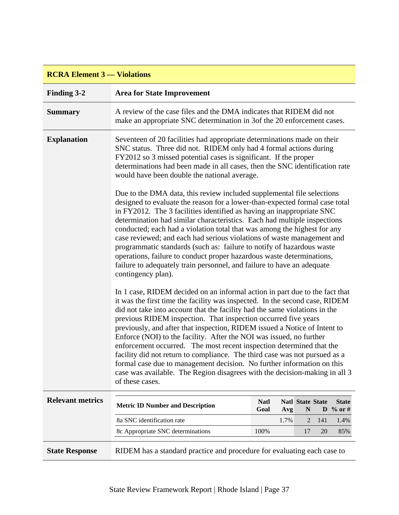# **RCRA Element 3 — Violations**

| <b>Finding 3-2</b>      | <b>Area for State Improvement</b>                                                                                                                                                                                                                                                                                                                                                                                                                                                                                                                                                                                                                                                                                                                                                               |                     |      |                              |     |                                     |
|-------------------------|-------------------------------------------------------------------------------------------------------------------------------------------------------------------------------------------------------------------------------------------------------------------------------------------------------------------------------------------------------------------------------------------------------------------------------------------------------------------------------------------------------------------------------------------------------------------------------------------------------------------------------------------------------------------------------------------------------------------------------------------------------------------------------------------------|---------------------|------|------------------------------|-----|-------------------------------------|
| <b>Summary</b>          | A review of the case files and the DMA indicates that RIDEM did not<br>make an appropriate SNC determination in 3of the 20 enforcement cases.                                                                                                                                                                                                                                                                                                                                                                                                                                                                                                                                                                                                                                                   |                     |      |                              |     |                                     |
| <b>Explanation</b>      | Seventeen of 20 facilities had appropriate determinations made on their<br>SNC status. Three did not. RIDEM only had 4 formal actions during<br>FY2012 so 3 missed potential cases is significant. If the proper<br>determinations had been made in all cases, then the SNC identification rate<br>would have been double the national average.                                                                                                                                                                                                                                                                                                                                                                                                                                                 |                     |      |                              |     |                                     |
|                         | Due to the DMA data, this review included supplemental file selections<br>designed to evaluate the reason for a lower-than-expected formal case total<br>in FY2012. The 3 facilities identified as having an inappropriate SNC<br>determination had similar characteristics. Each had multiple inspections<br>conducted; each had a violation total that was among the highest for any<br>case reviewed; and each had serious violations of waste management and<br>programmatic standards (such as: failure to notify of hazardous waste<br>operations, failure to conduct proper hazardous waste determinations,<br>failure to adequately train personnel, and failure to have an adequate<br>contingency plan).                                                                              |                     |      |                              |     |                                     |
|                         | In 1 case, RIDEM decided on an informal action in part due to the fact that<br>it was the first time the facility was inspected. In the second case, RIDEM<br>did not take into account that the facility had the same violations in the<br>previous RIDEM inspection. That inspection occurred five years<br>previously, and after that inspection, RIDEM issued a Notice of Intent to<br>Enforce (NOI) to the facility. After the NOI was issued, no further<br>enforcement occurred. The most recent inspection determined that the<br>facility did not return to compliance. The third case was not pursued as a<br>formal case due to management decision. No further information on this<br>case was available. The Region disagrees with the decision-making in all 3<br>of these cases. |                     |      |                              |     |                                     |
| <b>Relevant metrics</b> | <b>Metric ID Number and Description</b>                                                                                                                                                                                                                                                                                                                                                                                                                                                                                                                                                                                                                                                                                                                                                         | <b>Natl</b><br>Goal | Avg  | <b>Natl State State</b><br>N |     | <b>State</b><br>$\mathbf{D}$ % or # |
|                         | 8a SNC identification rate                                                                                                                                                                                                                                                                                                                                                                                                                                                                                                                                                                                                                                                                                                                                                                      |                     | 1.7% | 2                            | 141 | 1.4%                                |
|                         | 8c Appropriate SNC determinations                                                                                                                                                                                                                                                                                                                                                                                                                                                                                                                                                                                                                                                                                                                                                               | 100%                |      | 17                           | 20  | 85%                                 |
| <b>State Response</b>   | RIDEM has a standard practice and procedure for evaluating each case to                                                                                                                                                                                                                                                                                                                                                                                                                                                                                                                                                                                                                                                                                                                         |                     |      |                              |     |                                     |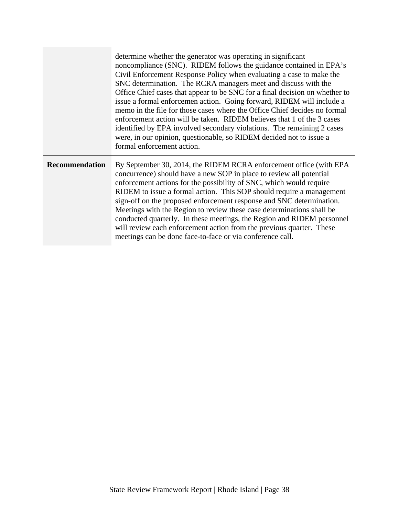|                       | determine whether the generator was operating in significant<br>noncompliance (SNC). RIDEM follows the guidance contained in EPA's<br>Civil Enforcement Response Policy when evaluating a case to make the<br>SNC determination. The RCRA managers meet and discuss with the<br>Office Chief cases that appear to be SNC for a final decision on whether to<br>issue a formal enforcemen action. Going forward, RIDEM will include a<br>memo in the file for those cases where the Office Chief decides no formal<br>enforcement action will be taken. RIDEM believes that 1 of the 3 cases<br>identified by EPA involved secondary violations. The remaining 2 cases<br>were, in our opinion, questionable, so RIDEM decided not to issue a<br>formal enforcement action. |
|-----------------------|----------------------------------------------------------------------------------------------------------------------------------------------------------------------------------------------------------------------------------------------------------------------------------------------------------------------------------------------------------------------------------------------------------------------------------------------------------------------------------------------------------------------------------------------------------------------------------------------------------------------------------------------------------------------------------------------------------------------------------------------------------------------------|
| <b>Recommendation</b> | By September 30, 2014, the RIDEM RCRA enforcement office (with EPA<br>concurrence) should have a new SOP in place to review all potential<br>enforcement actions for the possibility of SNC, which would require<br>RIDEM to issue a formal action. This SOP should require a management<br>sign-off on the proposed enforcement response and SNC determination.<br>Meetings with the Region to review these case determinations shall be<br>conducted quarterly. In these meetings, the Region and RIDEM personnel<br>will review each enforcement action from the previous quarter. These<br>meetings can be done face-to-face or via conference call.                                                                                                                   |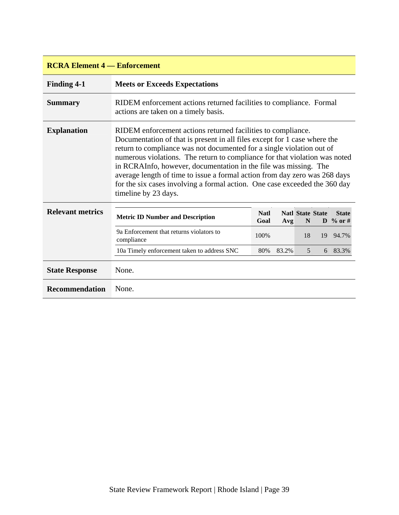| <b>RCRA Element 4 – Enforcement</b> |                                                                                                                                                                                                                                                                                                                                                                                                                                                                                                                                                          |                     |       |                              |  |                          |  |  |
|-------------------------------------|----------------------------------------------------------------------------------------------------------------------------------------------------------------------------------------------------------------------------------------------------------------------------------------------------------------------------------------------------------------------------------------------------------------------------------------------------------------------------------------------------------------------------------------------------------|---------------------|-------|------------------------------|--|--------------------------|--|--|
| <b>Finding 4-1</b>                  | <b>Meets or Exceeds Expectations</b>                                                                                                                                                                                                                                                                                                                                                                                                                                                                                                                     |                     |       |                              |  |                          |  |  |
| <b>Summary</b>                      | RIDEM enforcement actions returned facilities to compliance. Formal<br>actions are taken on a timely basis.                                                                                                                                                                                                                                                                                                                                                                                                                                              |                     |       |                              |  |                          |  |  |
| <b>Explanation</b>                  | RIDEM enforcement actions returned facilities to compliance.<br>Documentation of that is present in all files except for 1 case where the<br>return to compliance was not documented for a single violation out of<br>numerous violations. The return to compliance for that violation was noted<br>in RCRAInfo, however, documentation in the file was missing. The<br>average length of time to issue a formal action from day zero was 268 days<br>for the six cases involving a formal action. One case exceeded the 360 day<br>timeline by 23 days. |                     |       |                              |  |                          |  |  |
| <b>Relevant metrics</b>             | <b>Metric ID Number and Description</b>                                                                                                                                                                                                                                                                                                                                                                                                                                                                                                                  | <b>Natl</b><br>Goal | Avg   | <b>Natl State State</b><br>N |  | <b>State</b><br>D % or # |  |  |
|                                     | 9a Enforcement that returns violators to<br>compliance                                                                                                                                                                                                                                                                                                                                                                                                                                                                                                   | 100%                |       | 18                           |  | 19 94.7%                 |  |  |
|                                     | 10a Timely enforcement taken to address SNC                                                                                                                                                                                                                                                                                                                                                                                                                                                                                                              | 80%                 | 83.2% | 5                            |  | 6 83.3%                  |  |  |
| <b>State Response</b>               | None.                                                                                                                                                                                                                                                                                                                                                                                                                                                                                                                                                    |                     |       |                              |  |                          |  |  |
| Recommendation                      | None.                                                                                                                                                                                                                                                                                                                                                                                                                                                                                                                                                    |                     |       |                              |  |                          |  |  |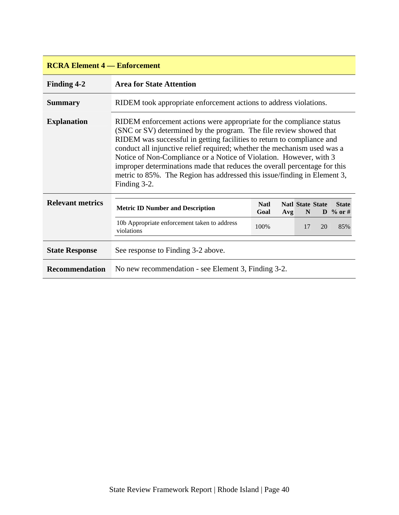| <b>RCRA Element 4 – Enforcement</b> |                                                                                                                                                                                                                                                                                                                                                                                                                                                                                                                                                 |                     |     |                              |    |                          |  |  |
|-------------------------------------|-------------------------------------------------------------------------------------------------------------------------------------------------------------------------------------------------------------------------------------------------------------------------------------------------------------------------------------------------------------------------------------------------------------------------------------------------------------------------------------------------------------------------------------------------|---------------------|-----|------------------------------|----|--------------------------|--|--|
| <b>Finding 4-2</b>                  | <b>Area for State Attention</b>                                                                                                                                                                                                                                                                                                                                                                                                                                                                                                                 |                     |     |                              |    |                          |  |  |
| <b>Summary</b>                      | RIDEM took appropriate enforcement actions to address violations.                                                                                                                                                                                                                                                                                                                                                                                                                                                                               |                     |     |                              |    |                          |  |  |
| <b>Explanation</b>                  | RIDEM enforcement actions were appropriate for the compliance status<br>(SNC or SV) determined by the program. The file review showed that<br>RIDEM was successful in getting facilities to return to compliance and<br>conduct all injunctive relief required; whether the mechanism used was a<br>Notice of Non-Compliance or a Notice of Violation. However, with 3<br>improper determinations made that reduces the overall percentage for this<br>metric to 85%. The Region has addressed this issue/finding in Element 3,<br>Finding 3-2. |                     |     |                              |    |                          |  |  |
| <b>Relevant metrics</b>             | <b>Metric ID Number and Description</b>                                                                                                                                                                                                                                                                                                                                                                                                                                                                                                         | <b>Natl</b><br>Goal | Avg | <b>Natl State State</b><br>N |    | <b>State</b><br>D % or # |  |  |
|                                     | 10b Appropriate enforcement taken to address<br>violations                                                                                                                                                                                                                                                                                                                                                                                                                                                                                      | 100%                |     | 17                           | 20 | 85%                      |  |  |
| <b>State Response</b>               | See response to Finding 3-2 above.                                                                                                                                                                                                                                                                                                                                                                                                                                                                                                              |                     |     |                              |    |                          |  |  |
| <b>Recommendation</b>               | No new recommendation - see Element 3, Finding 3-2.                                                                                                                                                                                                                                                                                                                                                                                                                                                                                             |                     |     |                              |    |                          |  |  |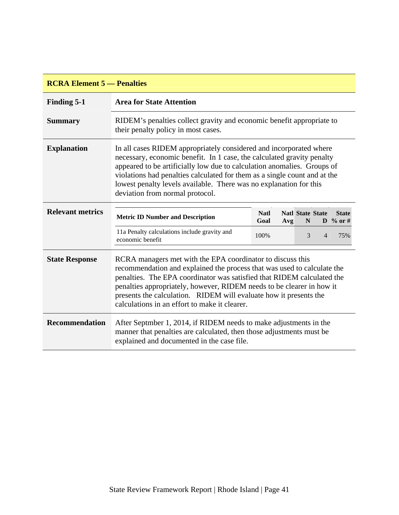| <b>RCRA Element 5 — Penalties</b> |                                                                                                                                                                                                                                                                                                                                                                                                                |                     |     |                                        |                |                                     |  |  |
|-----------------------------------|----------------------------------------------------------------------------------------------------------------------------------------------------------------------------------------------------------------------------------------------------------------------------------------------------------------------------------------------------------------------------------------------------------------|---------------------|-----|----------------------------------------|----------------|-------------------------------------|--|--|
| Finding 5-1                       | <b>Area for State Attention</b>                                                                                                                                                                                                                                                                                                                                                                                |                     |     |                                        |                |                                     |  |  |
| <b>Summary</b>                    | RIDEM's penalties collect gravity and economic benefit appropriate to<br>their penalty policy in most cases.                                                                                                                                                                                                                                                                                                   |                     |     |                                        |                |                                     |  |  |
| <b>Explanation</b>                | In all cases RIDEM appropriately considered and incorporated where<br>necessary, economic benefit. In 1 case, the calculated gravity penalty<br>appeared to be artificially low due to calculation anomalies. Groups of<br>violations had penalties calculated for them as a single count and at the<br>lowest penalty levels available. There was no explanation for this<br>deviation from normal protocol.  |                     |     |                                        |                |                                     |  |  |
| <b>Relevant metrics</b>           | <b>Metric ID Number and Description</b>                                                                                                                                                                                                                                                                                                                                                                        | <b>Natl</b><br>Goal | Avg | <b>Natl State State</b><br>$\mathbf N$ |                | <b>State</b><br>$\mathbf{D}$ % or # |  |  |
|                                   | 11a Penalty calculations include gravity and<br>economic benefit                                                                                                                                                                                                                                                                                                                                               | 100%                |     | 3                                      | $\overline{4}$ | 75%                                 |  |  |
| <b>State Response</b>             | RCRA managers met with the EPA coordinator to discuss this<br>recommendation and explained the process that was used to calculate the<br>penalties. The EPA coordinator was satisfied that RIDEM calculated the<br>penalties appropriately, however, RIDEM needs to be clearer in how it<br>presents the calculation. RIDEM will evaluate how it presents the<br>calculations in an effort to make it clearer. |                     |     |                                        |                |                                     |  |  |
| <b>Recommendation</b>             | After Septmber 1, 2014, if RIDEM needs to make adjustments in the<br>manner that penalties are calculated, then those adjustments must be<br>explained and documented in the case file.                                                                                                                                                                                                                        |                     |     |                                        |                |                                     |  |  |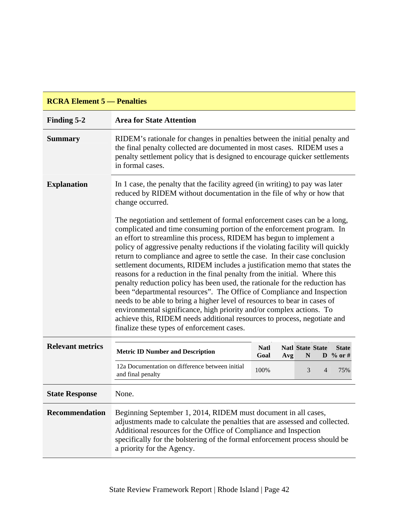| <b>RCRA Element 5 — Penalties</b> |                                                                                                                                                                                                                                                                                                                                                                                                                                                                                                                                                                                                                                                                                                                                                                                                                                                                                                                                                                                               |                            |                              |                |                          |  |  |
|-----------------------------------|-----------------------------------------------------------------------------------------------------------------------------------------------------------------------------------------------------------------------------------------------------------------------------------------------------------------------------------------------------------------------------------------------------------------------------------------------------------------------------------------------------------------------------------------------------------------------------------------------------------------------------------------------------------------------------------------------------------------------------------------------------------------------------------------------------------------------------------------------------------------------------------------------------------------------------------------------------------------------------------------------|----------------------------|------------------------------|----------------|--------------------------|--|--|
| Finding 5-2                       | <b>Area for State Attention</b>                                                                                                                                                                                                                                                                                                                                                                                                                                                                                                                                                                                                                                                                                                                                                                                                                                                                                                                                                               |                            |                              |                |                          |  |  |
| <b>Summary</b>                    | RIDEM's rationale for changes in penalties between the initial penalty and<br>the final penalty collected are documented in most cases. RIDEM uses a<br>penalty settlement policy that is designed to encourage quicker settlements<br>in formal cases.                                                                                                                                                                                                                                                                                                                                                                                                                                                                                                                                                                                                                                                                                                                                       |                            |                              |                |                          |  |  |
| <b>Explanation</b>                | In 1 case, the penalty that the facility agreed (in writing) to pay was later<br>reduced by RIDEM without documentation in the file of why or how that<br>change occurred.                                                                                                                                                                                                                                                                                                                                                                                                                                                                                                                                                                                                                                                                                                                                                                                                                    |                            |                              |                |                          |  |  |
|                                   | The negotiation and settlement of formal enforcement cases can be a long,<br>complicated and time consuming portion of the enforcement program. In<br>an effort to streamline this process, RIDEM has begun to implement a<br>policy of aggressive penalty reductions if the violating facility will quickly<br>return to compliance and agree to settle the case. In their case conclusion<br>settlement documents, RIDEM includes a justification memo that states the<br>reasons for a reduction in the final penalty from the initial. Where this<br>penalty reduction policy has been used, the rationale for the reduction has<br>been "departmental resources". The Office of Compliance and Inspection<br>needs to be able to bring a higher level of resources to bear in cases of<br>environmental significance, high priority and/or complex actions. To<br>achieve this, RIDEM needs additional resources to process, negotiate and<br>finalize these types of enforcement cases. |                            |                              |                |                          |  |  |
| <b>Relevant metrics</b>           | <b>Metric ID Number and Description</b>                                                                                                                                                                                                                                                                                                                                                                                                                                                                                                                                                                                                                                                                                                                                                                                                                                                                                                                                                       | <b>Natl</b><br>Goal<br>Avg | <b>Natl State State</b><br>N |                | <b>State</b><br>D % or # |  |  |
|                                   | 12a Documentation on difference between initial<br>and final penalty                                                                                                                                                                                                                                                                                                                                                                                                                                                                                                                                                                                                                                                                                                                                                                                                                                                                                                                          | 100%                       | 3                            | $\overline{4}$ | 75%                      |  |  |
| <b>State Response</b>             | None.                                                                                                                                                                                                                                                                                                                                                                                                                                                                                                                                                                                                                                                                                                                                                                                                                                                                                                                                                                                         |                            |                              |                |                          |  |  |
| <b>Recommendation</b>             | Beginning September 1, 2014, RIDEM must document in all cases,<br>adjustments made to calculate the penalties that are assessed and collected.<br>Additional resources for the Office of Compliance and Inspection<br>specifically for the bolstering of the formal enforcement process should be<br>a priority for the Agency.                                                                                                                                                                                                                                                                                                                                                                                                                                                                                                                                                                                                                                                               |                            |                              |                |                          |  |  |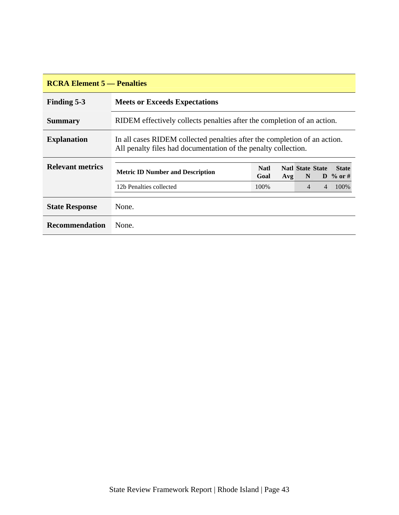| <b>RCRA Element 5 — Penalties</b> |                                                                                                                                             |                     |     |                               |   |                          |  |  |
|-----------------------------------|---------------------------------------------------------------------------------------------------------------------------------------------|---------------------|-----|-------------------------------|---|--------------------------|--|--|
| <b>Finding 5-3</b>                | <b>Meets or Exceeds Expectations</b>                                                                                                        |                     |     |                               |   |                          |  |  |
| <b>Summary</b>                    | RIDEM effectively collects penalties after the completion of an action.                                                                     |                     |     |                               |   |                          |  |  |
| <b>Explanation</b>                | In all cases RIDEM collected penalties after the completion of an action.<br>All penalty files had documentation of the penalty collection. |                     |     |                               |   |                          |  |  |
| <b>Relevant metrics</b>           | <b>Metric ID Number and Description</b>                                                                                                     | <b>Natl</b><br>Goal | Avg | <b>Natl State State</b><br>N. |   | <b>State</b><br>D % or # |  |  |
|                                   | 12b Penalties collected                                                                                                                     | 100%                |     | $\overline{4}$                | 4 | 100\%                    |  |  |
| <b>State Response</b>             | None.                                                                                                                                       |                     |     |                               |   |                          |  |  |
| <b>Recommendation</b>             | None.                                                                                                                                       |                     |     |                               |   |                          |  |  |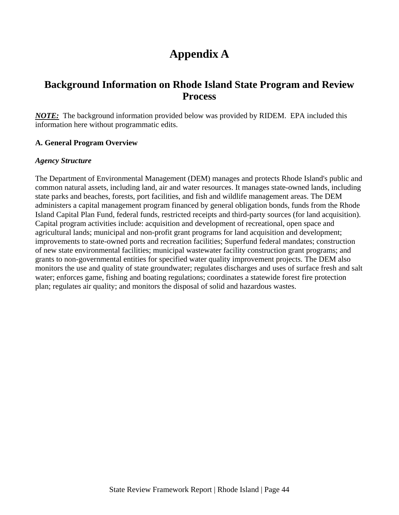# **Appendix A**

# <span id="page-47-0"></span>**Background Information on Rhode Island State Program and Review Process**

*NOTE:*The background information provided below was provided by RIDEM. EPA included this information here without programmatic edits.

#### **A. General Program Overview**

#### *Agency Structure*

The Department of Environmental Management (DEM) manages and protects Rhode Island's public and common natural assets, including land, air and water resources. It manages state-owned lands, including state parks and beaches, forests, port facilities, and fish and wildlife management areas. The DEM administers a capital management program financed by general obligation bonds, funds from the Rhode Island Capital Plan Fund, federal funds, restricted receipts and third-party sources (for land acquisition). Capital program activities include: acquisition and development of recreational, open space and agricultural lands; municipal and non-profit grant programs for land acquisition and development; improvements to state-owned ports and recreation facilities; Superfund federal mandates; construction of new state environmental facilities; municipal wastewater facility construction grant programs; and grants to non-governmental entities for specified water quality improvement projects. The DEM also monitors the use and quality of state groundwater; regulates discharges and uses of surface fresh and salt water; enforces game, fishing and boating regulations; coordinates a statewide forest fire protection plan; regulates air quality; and monitors the disposal of solid and hazardous wastes.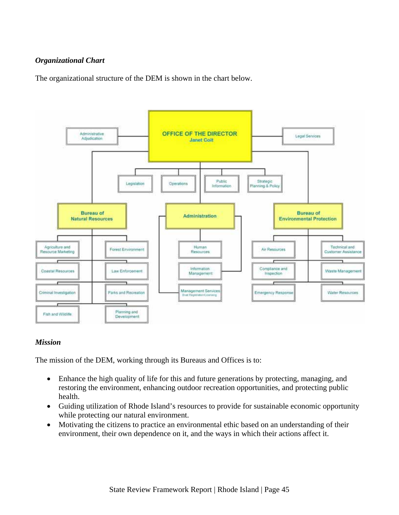#### *Organizational Chart*

The organizational structure of the DEM is shown in the chart below.



#### *Mission*

The mission of the DEM, working through its Bureaus and Offices is to:

- Enhance the high quality of life for this and future generations by protecting, managing, and restoring the environment, enhancing outdoor recreation opportunities, and protecting public health.
- Guiding utilization of Rhode Island's resources to provide for sustainable economic opportunity while protecting our natural environment.
- Motivating the citizens to practice an environmental ethic based on an understanding of their environment, their own dependence on it, and the ways in which their actions affect it.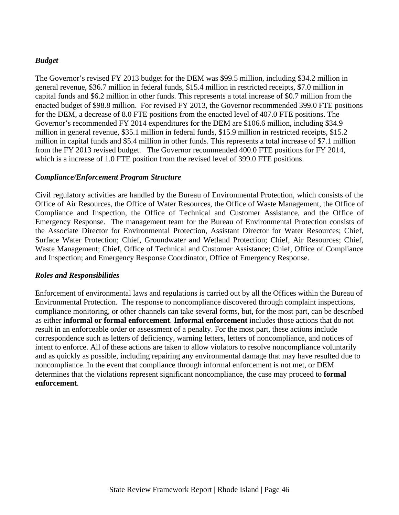#### *Budget*

The Governor's revised FY 2013 budget for the DEM was \$99.5 million, including \$34.2 million in general revenue, \$36.7 million in federal funds, \$15.4 million in restricted receipts, \$7.0 million in capital funds and \$6.2 million in other funds. This represents a total increase of \$0.7 million from the enacted budget of \$98.8 million. For revised FY 2013, the Governor recommended 399.0 FTE positions for the DEM, a decrease of 8.0 FTE positions from the enacted level of 407.0 FTE positions. The Governor's recommended FY 2014 expenditures for the DEM are \$106.6 million, including \$34.9 million in general revenue, \$35.1 million in federal funds, \$15.9 million in restricted receipts, \$15.2 million in capital funds and \$5.4 million in other funds. This represents a total increase of \$7.1 million from the FY 2013 revised budget. The Governor recommended 400.0 FTE positions for FY 2014, which is a increase of 1.0 FTE position from the revised level of 399.0 FTE positions.

#### *Compliance/Enforcement Program Structure*

Civil regulatory activities are handled by the Bureau of Environmental Protection, which consists of the Office of Air Resources, the Office of Water Resources, the Office of Waste Management, the Office of Compliance and Inspection, the Office of Technical and Customer Assistance, and the Office of Emergency Response. The management team for the Bureau of Environmental Protection consists of the Associate Director for Environmental Protection, Assistant Director for Water Resources; Chief, Surface Water Protection; Chief, Groundwater and Wetland Protection; Chief, Air Resources; Chief, Waste Management; Chief, Office of Technical and Customer Assistance; Chief, Office of Compliance and Inspection; and Emergency Response Coordinator, Office of Emergency Response.

#### *Roles and Responsibilities*

Enforcement of environmental laws and regulations is carried out by all the Offices within the Bureau of Environmental Protection. The response to noncompliance discovered through complaint inspections, compliance monitoring, or other channels can take several forms, but, for the most part, can be described as either **informal or formal enforcement**. **Informal enforcement** includes those actions that do not result in an enforceable order or assessment of a penalty. For the most part, these actions include correspondence such as letters of deficiency, warning letters, letters of noncompliance, and notices of intent to enforce. All of these actions are taken to allow violators to resolve noncompliance voluntarily and as quickly as possible, including repairing any environmental damage that may have resulted due to noncompliance. In the event that compliance through informal enforcement is not met, or DEM determines that the violations represent significant noncompliance, the case may proceed to **formal enforcement**.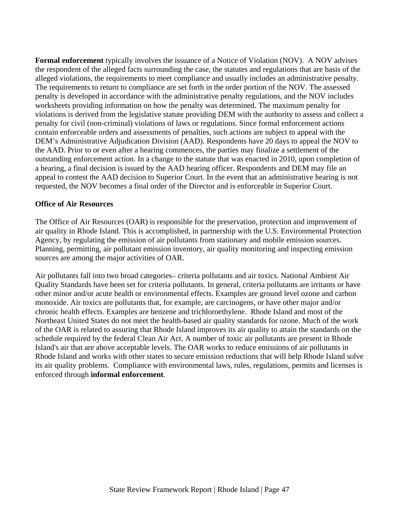**Formal enforcement** typically involves the issuance of a Notice of Violation (NOV). A NOV advises the respondent of the alleged facts surrounding the case, the statutes and regulations that are basis of the alleged violations, the requirements to meet compliance and usually includes an administrative penalty. The requirements to return to compliance are set forth in the order portion of the NOV. The assessed penalty is developed in accordance with the administrative penalty regulations, and the NOV includes worksheets providing information on how the penalty was determined. The maximum penalty for violations is derived from the legislative statute providing DEM with the authority to assess and collect a penalty for civil (non-criminal) violations of laws or regulations. Since formal enforcement actions contain enforceable orders and assessments of penalties, such actions are subject to appeal with the DEM's Administrative Adjudication Division (AAD). Respondents have 20 days to appeal the NOV to the AAD. Prior to or even after a hearing commences, the parties may finalize a settlement of the outstanding enforcement action. In a change to the statute that was enacted in 2010, upon completion of a hearing, a final decision is issued by the AAD hearing officer. Respondents and DEM may file an appeal to contest the AAD decision to Superior Court. In the event that an administrative hearing is not requested, the NOV becomes a final order of the Director and is enforceable in Superior Court.

#### **Office of Air Resources**

The Office of Air Resources (OAR) is responsible for the preservation, protection and improvement of air quality in Rhode Island. This is accomplished, in partnership with the U.S. Environmental Protection Agency, by regulating the emission of air pollutants from stationary and mobile emission sources. Planning, permitting, air pollutant emission inventory, air quality monitoring and inspecting emission sources are among the major activities of OAR.

Air pollutants fall into two broad categories– criteria pollutants and air toxics. National Ambient Air Quality Standards have been set for criteria pollutants. In general, criteria pollutants are irritants or have other minor and/or acute health or environmental effects. Examples are ground level ozone and carbon monoxide. Air toxics are pollutants that, for example, are carcinogens, or have other major and/or chronic health effects. Examples are benzene and trichloroethylene. Rhode Island and most of the Northeast United States do not meet the health-based air quality standards for ozone. Much of the work of the OAR is related to assuring that Rhode Island improves its air quality to attain the standards on the schedule required by the federal Clean Air Act. A number of toxic air pollutants are present in Rhode Island's air that are above acceptable levels. The OAR works to reduce emissions of air pollutants in Rhode Island and works with other states to secure emission reductions that will help Rhode Island solve its air quality problems. Compliance with environmental laws, rules, regulations, permits and licenses is enforced through **informal enforcement**.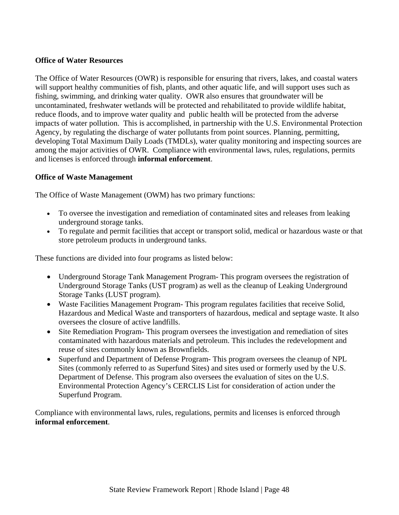#### **Office of Water Resources**

The Office of Water Resources (OWR) is responsible for ensuring that rivers, lakes, and coastal waters will support healthy communities of fish, plants, and other aquatic life, and will support uses such as fishing, swimming, and drinking water quality. OWR also ensures that groundwater will be uncontaminated, freshwater wetlands will be protected and rehabilitated to provide wildlife habitat, reduce floods, and to improve water quality and public health will be protected from the adverse impacts of water pollution. This is accomplished, in partnership with the U.S. Environmental Protection Agency, by regulating the discharge of water pollutants from point sources. Planning, permitting, developing Total Maximum Daily Loads (TMDLs), water quality monitoring and inspecting sources are among the major activities of OWR. Compliance with environmental laws, rules, regulations, permits and licenses is enforced through **informal enforcement**.

#### **Office of Waste Management**

The Office of Waste Management (OWM) has two primary functions:

- To oversee the investigation and remediation of contaminated sites and releases from leaking underground storage tanks.
- To regulate and permit facilities that accept or transport solid, medical or hazardous waste or that store petroleum products in underground tanks.

These functions are divided into four programs as listed below:

- Underground Storage Tank Management Program-This program oversees the registration of Underground Storage Tanks (UST program) as well as the cleanup of Leaking Underground Storage Tanks (LUST program).
- Waste Facilities Management Program-This program regulates facilities that receive Solid, Hazardous and Medical Waste and transporters of hazardous, medical and septage waste. It also oversees the closure of active landfills.
- Site Remediation Program-This program oversees the investigation and remediation of sites contaminated with hazardous materials and petroleum. This includes the redevelopment and reuse of sites commonly known as Brownfields.
- Superfund and Department of Defense Program-This program oversees the cleanup of NPL Sites (commonly referred to as Superfund Sites) and sites used or formerly used by the U.S. Department of Defense. This program also oversees the evaluation of sites on the U.S. Environmental Protection Agency's CERCLIS List for consideration of action under the Superfund Program.

Compliance with environmental laws, rules, regulations, permits and licenses is enforced through **informal enforcement**.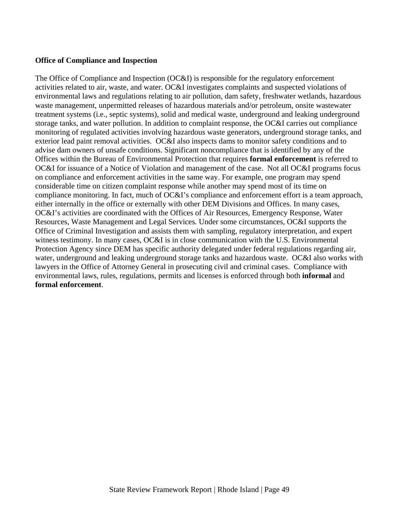#### **Office of Compliance and Inspection**

The Office of Compliance and Inspection (OC&I) is responsible for the regulatory enforcement activities related to air, waste, and water. OC&I investigates complaints and suspected violations of environmental laws and regulations relating to air pollution, dam safety, freshwater wetlands, hazardous waste management, unpermitted releases of hazardous materials and/or petroleum, onsite wastewater treatment systems (i.e., septic systems), solid and medical waste, underground and leaking underground storage tanks, and water pollution. In addition to complaint response, the OC&I carries out compliance monitoring of regulated activities involving hazardous waste generators, underground storage tanks, and exterior lead paint removal activities. OC&I also inspects dams to monitor safety conditions and to advise dam owners of unsafe conditions. Significant noncompliance that is identified by any of the Offices within the Bureau of Environmental Protection that requires **formal enforcement** is referred to OC&I for issuance of a Notice of Violation and management of the case. Not all OC&I programs focus on compliance and enforcement activities in the same way. For example, one program may spend considerable time on citizen complaint response while another may spend most of its time on compliance monitoring. In fact, much of OC&I's compliance and enforcement effort is a team approach, either internally in the office or externally with other DEM Divisions and Offices. In many cases, OC&I's activities are coordinated with the Offices of Air Resources, Emergency Response, Water Resources, Waste Management and Legal Services. Under some circumstances, OC&I supports the Office of Criminal Investigation and assists them with sampling, regulatory interpretation, and expert witness testimony. In many cases, OC&I is in close communication with the U.S. Environmental Protection Agency since DEM has specific authority delegated under federal regulations regarding air, water, underground and leaking underground storage tanks and hazardous waste. OC&I also works with lawyers in the Office of Attorney General in prosecuting civil and criminal cases. Compliance with environmental laws, rules, regulations, permits and licenses is enforced through both **informal** and **formal enforcement**.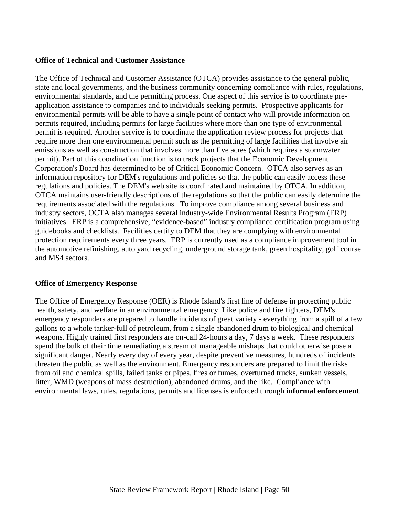#### **Office of Technical and Customer Assistance**

The Office of Technical and Customer Assistance (OTCA) provides assistance to the general public, state and local governments, and the business community concerning compliance with rules, regulations, environmental standards, and the permitting process. One aspect of this service is to coordinate preapplication assistance to companies and to individuals seeking permits. Prospective applicants for environmental permits will be able to have a single point of contact who will provide information on permits required, including permits for large facilities where more than one type of environmental permit is required. Another service is to coordinate the application review process for projects that require more than one environmental permit such as the permitting of large facilities that involve air emissions as well as construction that involves more than five acres (which requires a stormwater permit). Part of this coordination function is to track projects that the Economic Development Corporation's Board has determined to be of Critical Economic Concern. OTCA also serves as an information repository for DEM's regulations and policies so that the public can easily access these regulations and policies. The DEM's web site is coordinated and maintained by OTCA. In addition, OTCA maintains user-friendly descriptions of the regulations so that the public can easily determine the requirements associated with the regulations. To improve compliance among several business and industry sectors, OCTA also manages several industry-wide Environmental Results Program (ERP) initiatives. ERP is a comprehensive, "evidence-based" industry compliance certification program using guidebooks and checklists. Facilities certify to DEM that they are complying with environmental protection requirements every three years. ERP is currently used as a compliance improvement tool in the automotive refinishing, auto yard recycling, underground storage tank, green hospitality, golf course and MS4 sectors.

#### **Office of Emergency Response**

The Office of Emergency Response (OER) is Rhode Island's first line of defense in protecting public health, safety, and welfare in an environmental emergency. Like police and fire fighters, DEM's emergency responders are prepared to handle incidents of great variety - everything from a spill of a few gallons to a whole tanker-full of petroleum, from a single abandoned drum to biological and chemical weapons. Highly trained first responders are on-call 24-hours a day, 7 days a week. These responders spend the bulk of their time remediating a stream of manageable mishaps that could otherwise pose a significant danger. Nearly every day of every year, despite preventive measures, hundreds of incidents threaten the public as well as the environment. Emergency responders are prepared to limit the risks from oil and chemical spills, failed tanks or pipes, fires or fumes, overturned trucks, sunken vessels, litter, WMD (weapons of mass destruction), abandoned drums, and the like. Compliance with environmental laws, rules, regulations, permits and licenses is enforced through **informal enforcement**.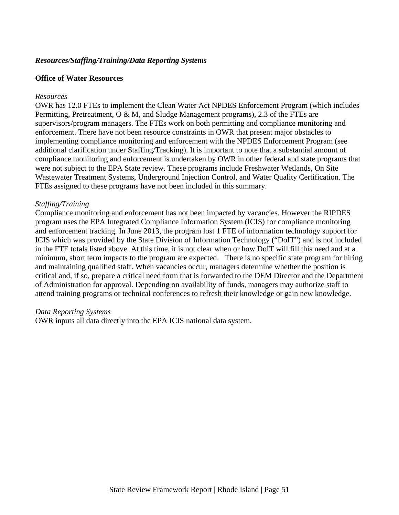#### *Resources/Staffing/Training/Data Reporting Systems*

#### **Office of Water Resources**

#### *Resources*

OWR has 12.0 FTEs to implement the Clean Water Act NPDES Enforcement Program (which includes Permitting, Pretreatment, O & M, and Sludge Management programs), 2.3 of the FTEs are supervisors/program managers. The FTEs work on both permitting and compliance monitoring and enforcement. There have not been resource constraints in OWR that present major obstacles to implementing compliance monitoring and enforcement with the NPDES Enforcement Program (see additional clarification under Staffing/Tracking). It is important to note that a substantial amount of compliance monitoring and enforcement is undertaken by OWR in other federal and state programs that were not subject to the EPA State review. These programs include Freshwater Wetlands, On Site Wastewater Treatment Systems, Underground Injection Control, and Water Quality Certification. The FTEs assigned to these programs have not been included in this summary.

#### *Staffing/Training*

Compliance monitoring and enforcement has not been impacted by vacancies. However the RIPDES program uses the EPA Integrated Compliance Information System (ICIS) for compliance monitoring and enforcement tracking. In June 2013, the program lost 1 FTE of information technology support for ICIS which was provided by the State Division of Information Technology ("DoIT") and is not included in the FTE totals listed above. At this time, it is not clear when or how DoIT will fill this need and at a minimum, short term impacts to the program are expected. There is no specific state program for hiring and maintaining qualified staff. When vacancies occur, managers determine whether the position is critical and, if so, prepare a critical need form that is forwarded to the DEM Director and the Department of Administration for approval. Depending on availability of funds, managers may authorize staff to attend training programs or technical conferences to refresh their knowledge or gain new knowledge.

#### *Data Reporting Systems*

OWR inputs all data directly into the EPA ICIS national data system.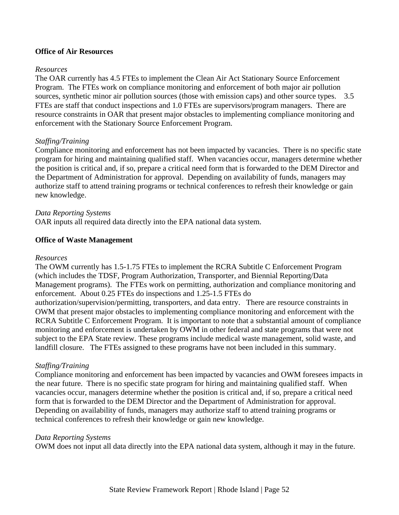#### **Office of Air Resources**

#### *Resources*

The OAR currently has 4.5 FTEs to implement the Clean Air Act Stationary Source Enforcement Program. The FTEs work on compliance monitoring and enforcement of both major air pollution sources, synthetic minor air pollution sources (those with emission caps) and other source types. 3.5 FTEs are staff that conduct inspections and 1.0 FTEs are supervisors/program managers. There are resource constraints in OAR that present major obstacles to implementing compliance monitoring and enforcement with the Stationary Source Enforcement Program.

#### *Staffing/Training*

Compliance monitoring and enforcement has not been impacted by vacancies. There is no specific state program for hiring and maintaining qualified staff. When vacancies occur, managers determine whether the position is critical and, if so, prepare a critical need form that is forwarded to the DEM Director and the Department of Administration for approval. Depending on availability of funds, managers may authorize staff to attend training programs or technical conferences to refresh their knowledge or gain new knowledge.

#### *Data Reporting Systems*

OAR inputs all required data directly into the EPA national data system.

#### **Office of Waste Management**

#### *Resources*

The OWM currently has 1.5-1.75 FTEs to implement the RCRA Subtitle C Enforcement Program (which includes the TDSF, Program Authorization, Transporter, and Biennial Reporting/Data Management programs). The FTEs work on permitting, authorization and compliance monitoring and enforcement. About 0.25 FTEs do inspections and 1.25-1.5 FTEs do

authorization/supervision/permitting, transporters, and data entry. There are resource constraints in OWM that present major obstacles to implementing compliance monitoring and enforcement with the RCRA Subtitle C Enforcement Program. It is important to note that a substantial amount of compliance monitoring and enforcement is undertaken by OWM in other federal and state programs that were not subject to the EPA State review. These programs include medical waste management, solid waste, and landfill closure. The FTEs assigned to these programs have not been included in this summary.

#### *Staffing/Training*

Compliance monitoring and enforcement has been impacted by vacancies and OWM foresees impacts in the near future. There is no specific state program for hiring and maintaining qualified staff. When vacancies occur, managers determine whether the position is critical and, if so, prepare a critical need form that is forwarded to the DEM Director and the Department of Administration for approval. Depending on availability of funds, managers may authorize staff to attend training programs or technical conferences to refresh their knowledge or gain new knowledge.

#### *Data Reporting Systems*

OWM does not input all data directly into the EPA national data system, although it may in the future.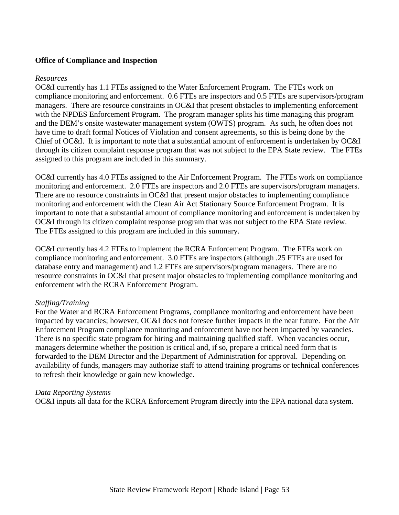#### **Office of Compliance and Inspection**

#### *Resources*

OC&I currently has 1.1 FTEs assigned to the Water Enforcement Program. The FTEs work on compliance monitoring and enforcement. 0.6 FTEs are inspectors and 0.5 FTEs are supervisors/program managers. There are resource constraints in OC&I that present obstacles to implementing enforcement with the NPDES Enforcement Program. The program manager splits his time managing this program and the DEM's onsite wastewater management system (OWTS) program. As such, he often does not have time to draft formal Notices of Violation and consent agreements, so this is being done by the Chief of OC&I. It is important to note that a substantial amount of enforcement is undertaken by OC&I through its citizen complaint response program that was not subject to the EPA State review. The FTEs assigned to this program are included in this summary.

OC&I currently has 4.0 FTEs assigned to the Air Enforcement Program. The FTEs work on compliance monitoring and enforcement. 2.0 FTEs are inspectors and 2.0 FTEs are supervisors/program managers. There are no resource constraints in OC&I that present major obstacles to implementing compliance monitoring and enforcement with the Clean Air Act Stationary Source Enforcement Program. It is important to note that a substantial amount of compliance monitoring and enforcement is undertaken by OC&I through its citizen complaint response program that was not subject to the EPA State review. The FTEs assigned to this program are included in this summary.

OC&I currently has 4.2 FTEs to implement the RCRA Enforcement Program. The FTEs work on compliance monitoring and enforcement. 3.0 FTEs are inspectors (although .25 FTEs are used for database entry and management) and 1.2 FTEs are supervisors/program managers. There are no resource constraints in OC&I that present major obstacles to implementing compliance monitoring and enforcement with the RCRA Enforcement Program.

#### *Staffing/Training*

For the Water and RCRA Enforcement Programs, compliance monitoring and enforcement have been impacted by vacancies; however, OC&I does not foresee further impacts in the near future. For the Air Enforcement Program compliance monitoring and enforcement have not been impacted by vacancies. There is no specific state program for hiring and maintaining qualified staff. When vacancies occur, managers determine whether the position is critical and, if so, prepare a critical need form that is forwarded to the DEM Director and the Department of Administration for approval. Depending on availability of funds, managers may authorize staff to attend training programs or technical conferences to refresh their knowledge or gain new knowledge.

#### *Data Reporting Systems*

OC&I inputs all data for the RCRA Enforcement Program directly into the EPA national data system.